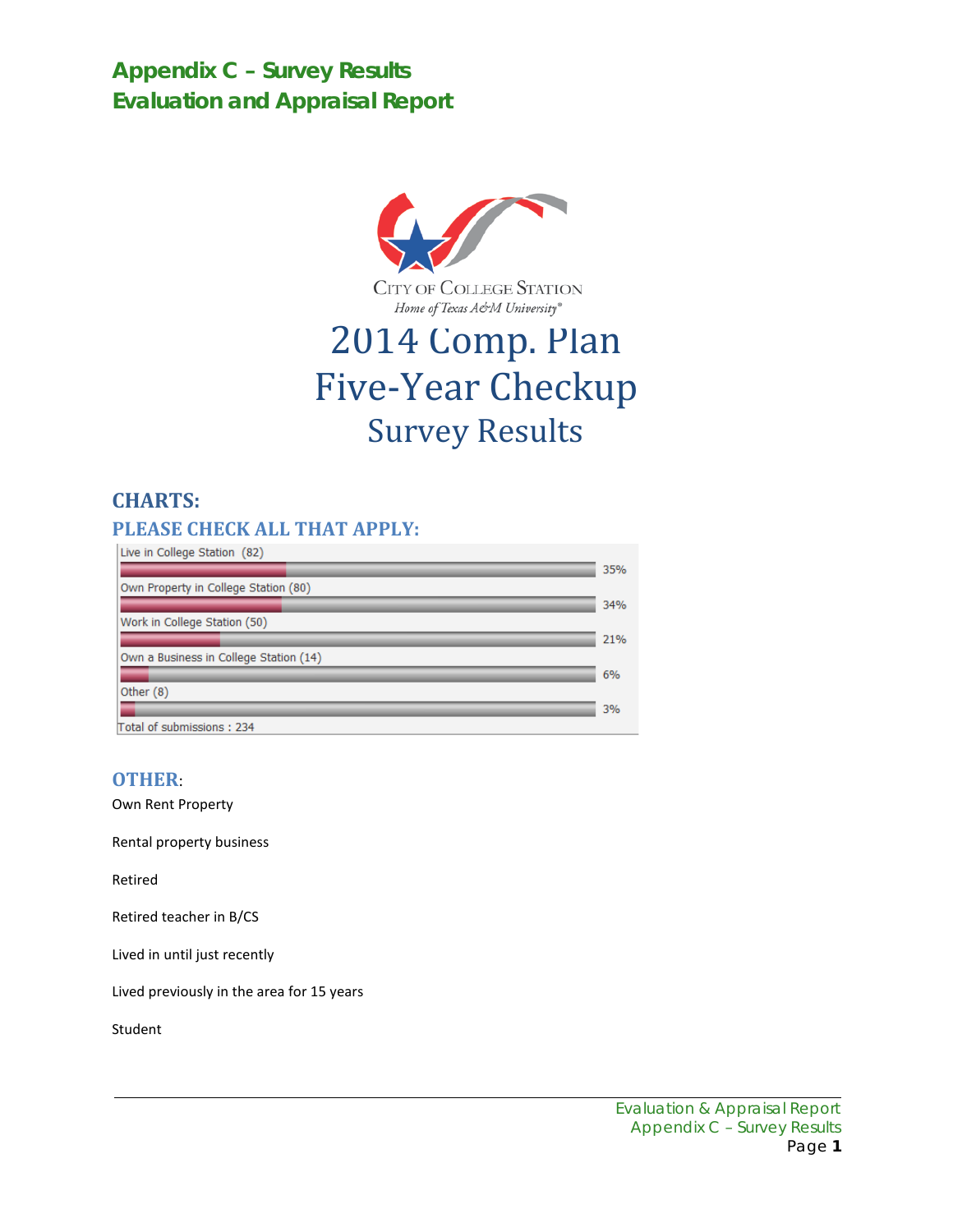**Appendix C – Survey Results Evaluation and Appraisal Report**



CITY OF COLLEGE STATION Home of Texas A&M University®

# 2014 Comp. Plan Five-Year Checkup Survey Results

# **CHARTS:**

### **PLEASE CHECK ALL THAT APPLY:**

| Live in College Station (82)           |     |
|----------------------------------------|-----|
|                                        | 35% |
| Own Property in College Station (80)   |     |
|                                        | 34% |
| Work in College Station (50)           |     |
|                                        | 21% |
| Own a Business in College Station (14) |     |
|                                        | 6%  |
| Other (8)                              |     |
|                                        | 3%  |
| Total of submissions: 234              |     |

### **OTHER**:

Own Rent Property

Rental property business

Retired

Retired teacher in B/CS

Lived in until just recently

Lived previously in the area for 15 years

Student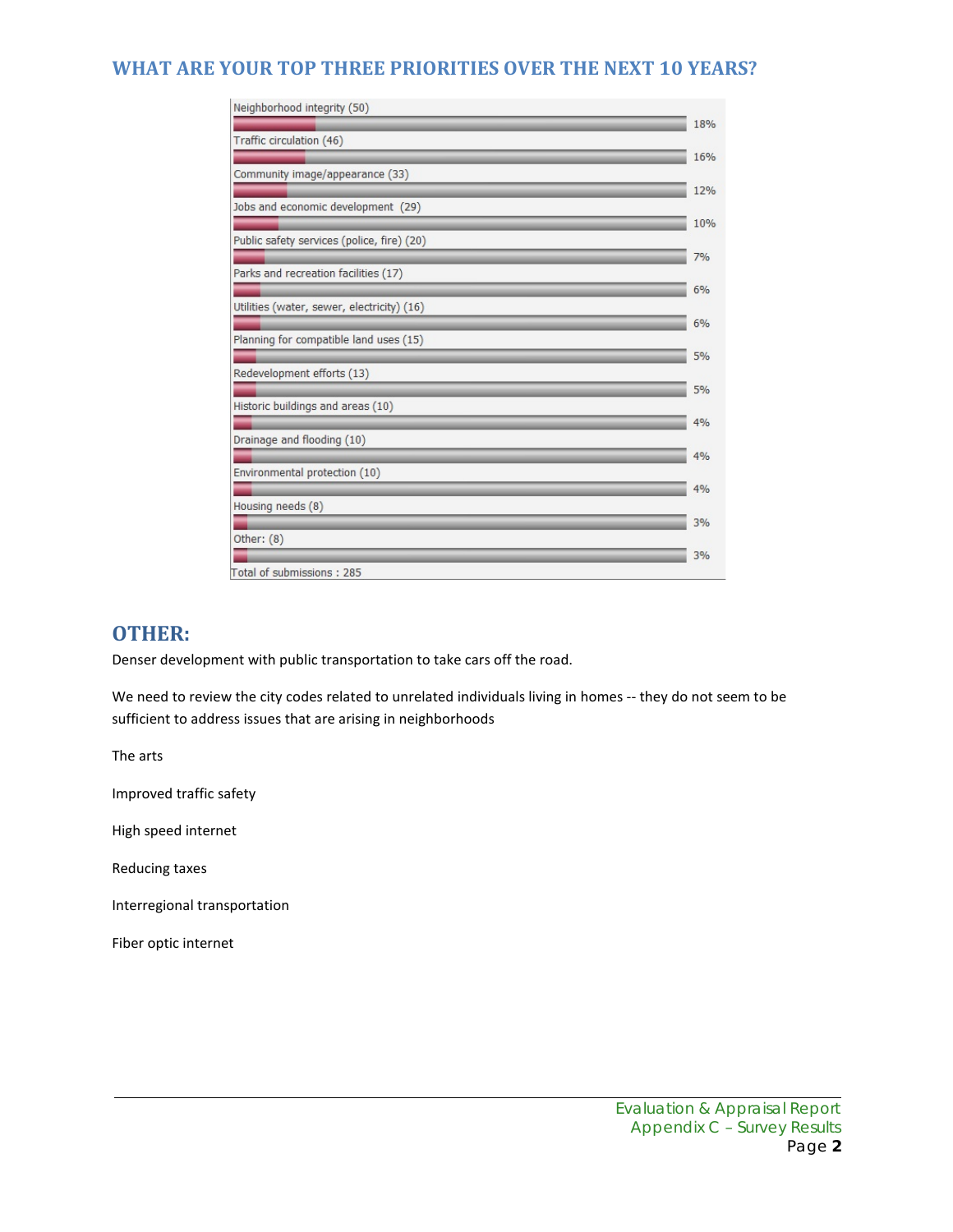### **WHAT ARE YOUR TOP THREE PRIORITIES OVER THE NEXT 10 YEARS?**

| Neighborhood integrity (50)                |     |
|--------------------------------------------|-----|
|                                            | 18% |
| Traffic circulation (46)                   |     |
| Community image/appearance (33)            | 16% |
|                                            | 12% |
| Jobs and economic development (29)         |     |
|                                            | 10% |
| Public safety services (police, fire) (20) |     |
| Parks and recreation facilities (17)       | 7%  |
|                                            | 6%  |
| Utilities (water, sewer, electricity) (16) |     |
|                                            | 6%  |
| Planning for compatible land uses (15)     |     |
| Redevelopment efforts (13)                 | 5%  |
|                                            | 5%  |
| Historic buildings and areas (10)          |     |
|                                            | 4%  |
| Drainage and flooding (10)                 |     |
| Environmental protection (10)              | 4%  |
|                                            | 4%  |
| Housing needs (8)                          |     |
|                                            | 3%  |
| Other: (8)                                 |     |
| Total of submissions: 285                  | 3%  |
|                                            |     |

### **OTHER:**

Denser development with public transportation to take cars off the road.

We need to review the city codes related to unrelated individuals living in homes -- they do not seem to be sufficient to address issues that are arising in neighborhoods

The arts

Improved traffic safety

High speed internet

Reducing taxes

Interregional transportation

Fiber optic internet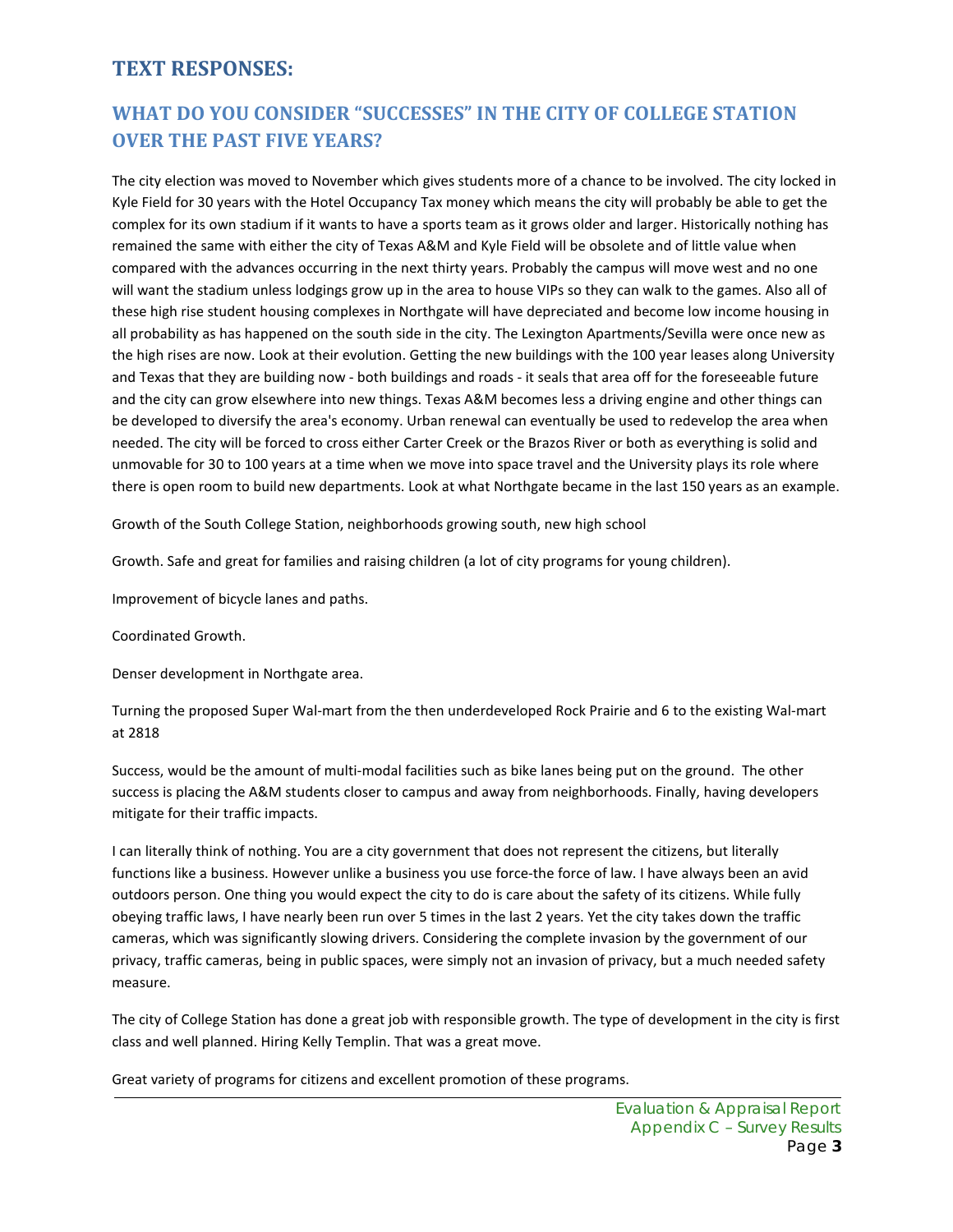### **TEXT RESPONSES:**

# **WHAT DO YOU CONSIDER "SUCCESSES" IN THE CITY OF COLLEGE STATION OVER THE PAST FIVE YEARS?**

The city election was moved to November which gives students more of a chance to be involved. The city locked in Kyle Field for 30 years with the Hotel Occupancy Tax money which means the city will probably be able to get the complex for its own stadium if it wants to have a sports team as it grows older and larger. Historically nothing has remained the same with either the city of Texas A&M and Kyle Field will be obsolete and of little value when compared with the advances occurring in the next thirty years. Probably the campus will move west and no one will want the stadium unless lodgings grow up in the area to house VIPs so they can walk to the games. Also all of these high rise student housing complexes in Northgate will have depreciated and become low income housing in all probability as has happened on the south side in the city. The Lexington Apartments/Sevilla were once new as the high rises are now. Look at their evolution. Getting the new buildings with the 100 year leases along University and Texas that they are building now - both buildings and roads - it seals that area off for the foreseeable future and the city can grow elsewhere into new things. Texas A&M becomes less a driving engine and other things can be developed to diversify the area's economy. Urban renewal can eventually be used to redevelop the area when needed. The city will be forced to cross either Carter Creek or the Brazos River or both as everything is solid and unmovable for 30 to 100 years at a time when we move into space travel and the University plays its role where there is open room to build new departments. Look at what Northgate became in the last 150 years as an example.

Growth of the South College Station, neighborhoods growing south, new high school

Growth. Safe and great for families and raising children (a lot of city programs for young children).

Improvement of bicycle lanes and paths.

Coordinated Growth.

Denser development in Northgate area.

Turning the proposed Super Wal-mart from the then underdeveloped Rock Prairie and 6 to the existing Wal-mart at 2818

Success, would be the amount of multi-modal facilities such as bike lanes being put on the ground. The other success is placing the A&M students closer to campus and away from neighborhoods. Finally, having developers mitigate for their traffic impacts.

I can literally think of nothing. You are a city government that does not represent the citizens, but literally functions like a business. However unlike a business you use force-the force of law. I have always been an avid outdoors person. One thing you would expect the city to do is care about the safety of its citizens. While fully obeying traffic laws, I have nearly been run over 5 times in the last 2 years. Yet the city takes down the traffic cameras, which was significantly slowing drivers. Considering the complete invasion by the government of our privacy, traffic cameras, being in public spaces, were simply not an invasion of privacy, but a much needed safety measure.

The city of College Station has done a great job with responsible growth. The type of development in the city is first class and well planned. Hiring Kelly Templin. That was a great move.

Great variety of programs for citizens and excellent promotion of these programs.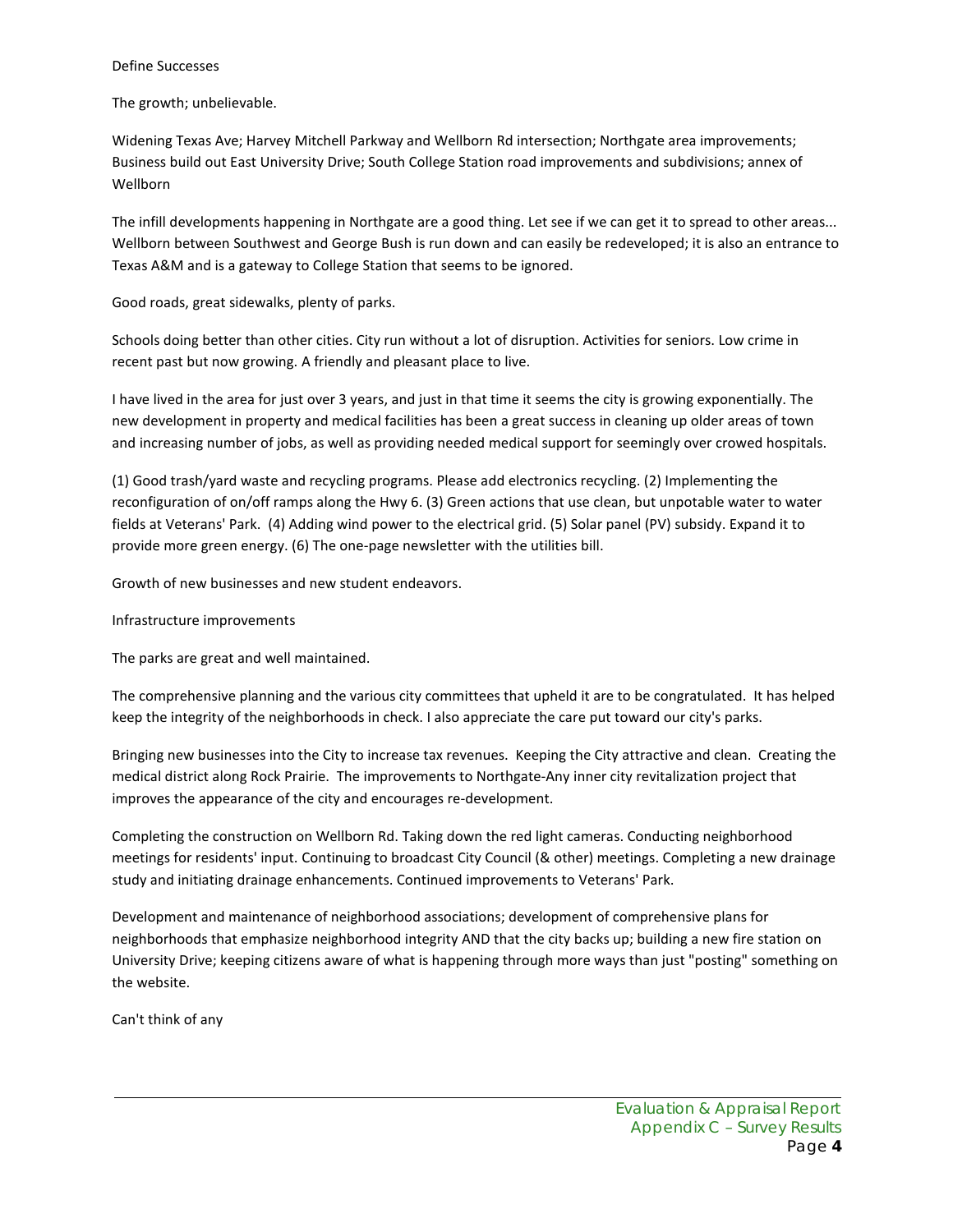#### Define Successes

The growth; unbelievable.

Widening Texas Ave; Harvey Mitchell Parkway and Wellborn Rd intersection; Northgate area improvements; Business build out East University Drive; South College Station road improvements and subdivisions; annex of Wellborn

The infill developments happening in Northgate are a good thing. Let see if we can get it to spread to other areas... Wellborn between Southwest and George Bush is run down and can easily be redeveloped; it is also an entrance to Texas A&M and is a gateway to College Station that seems to be ignored.

Good roads, great sidewalks, plenty of parks.

Schools doing better than other cities. City run without a lot of disruption. Activities for seniors. Low crime in recent past but now growing. A friendly and pleasant place to live.

I have lived in the area for just over 3 years, and just in that time it seems the city is growing exponentially. The new development in property and medical facilities has been a great success in cleaning up older areas of town and increasing number of jobs, as well as providing needed medical support for seemingly over crowed hospitals.

(1) Good trash/yard waste and recycling programs. Please add electronics recycling. (2) Implementing the reconfiguration of on/off ramps along the Hwy 6. (3) Green actions that use clean, but unpotable water to water fields at Veterans' Park. (4) Adding wind power to the electrical grid. (5) Solar panel (PV) subsidy. Expand it to provide more green energy. (6) The one-page newsletter with the utilities bill.

Growth of new businesses and new student endeavors.

Infrastructure improvements

The parks are great and well maintained.

The comprehensive planning and the various city committees that upheld it are to be congratulated. It has helped keep the integrity of the neighborhoods in check. I also appreciate the care put toward our city's parks.

Bringing new businesses into the City to increase tax revenues. Keeping the City attractive and clean. Creating the medical district along Rock Prairie. The improvements to Northgate-Any inner city revitalization project that improves the appearance of the city and encourages re-development.

Completing the construction on Wellborn Rd. Taking down the red light cameras. Conducting neighborhood meetings for residents' input. Continuing to broadcast City Council (& other) meetings. Completing a new drainage study and initiating drainage enhancements. Continued improvements to Veterans' Park.

Development and maintenance of neighborhood associations; development of comprehensive plans for neighborhoods that emphasize neighborhood integrity AND that the city backs up; building a new fire station on University Drive; keeping citizens aware of what is happening through more ways than just "posting" something on the website.

Can't think of any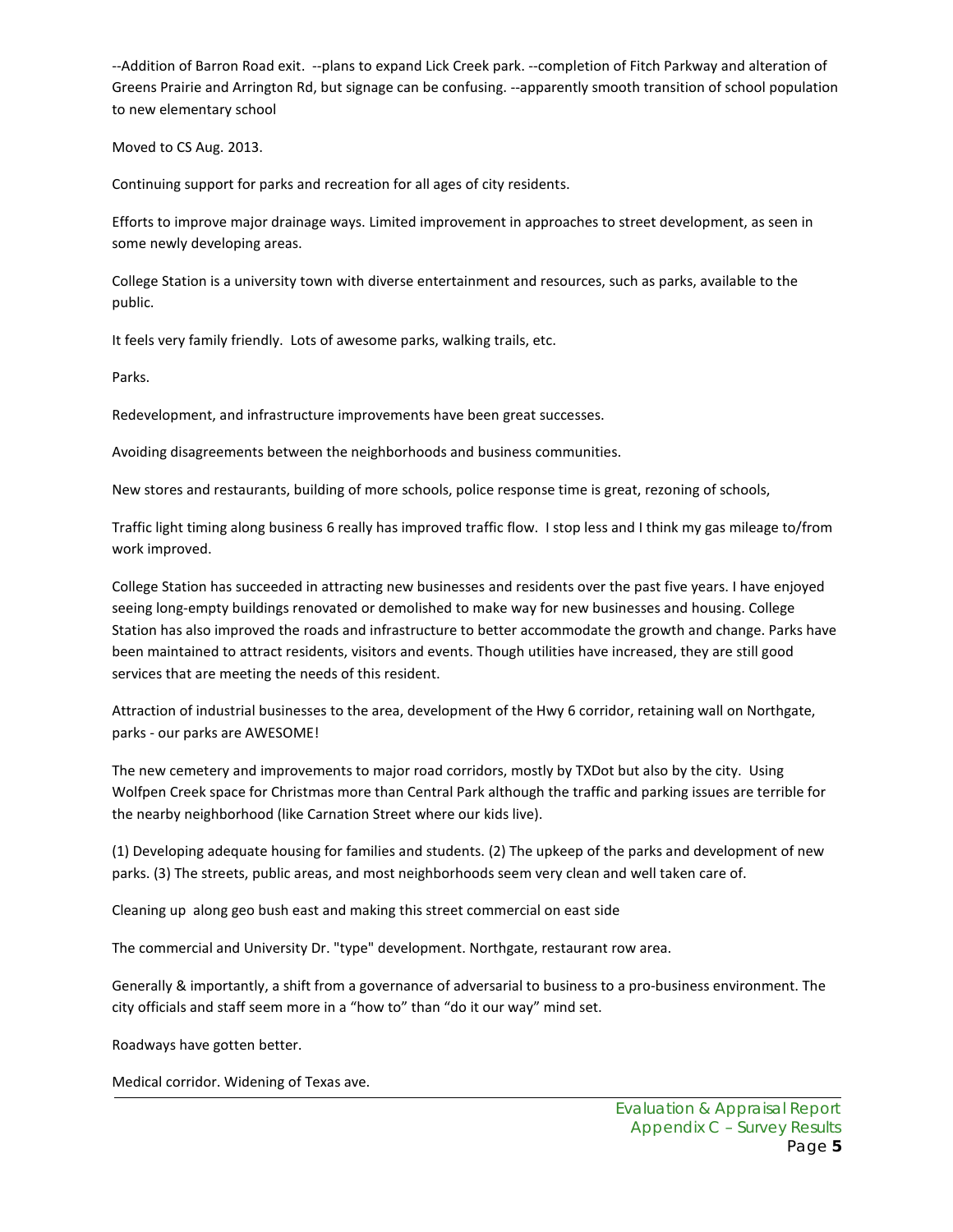--Addition of Barron Road exit. --plans to expand Lick Creek park. --completion of Fitch Parkway and alteration of Greens Prairie and Arrington Rd, but signage can be confusing. --apparently smooth transition of school population to new elementary school

Moved to CS Aug. 2013.

Continuing support for parks and recreation for all ages of city residents.

Efforts to improve major drainage ways. Limited improvement in approaches to street development, as seen in some newly developing areas.

College Station is a university town with diverse entertainment and resources, such as parks, available to the public.

It feels very family friendly. Lots of awesome parks, walking trails, etc.

Parks.

Redevelopment, and infrastructure improvements have been great successes.

Avoiding disagreements between the neighborhoods and business communities.

New stores and restaurants, building of more schools, police response time is great, rezoning of schools,

Traffic light timing along business 6 really has improved traffic flow. I stop less and I think my gas mileage to/from work improved.

College Station has succeeded in attracting new businesses and residents over the past five years. I have enjoyed seeing long-empty buildings renovated or demolished to make way for new businesses and housing. College Station has also improved the roads and infrastructure to better accommodate the growth and change. Parks have been maintained to attract residents, visitors and events. Though utilities have increased, they are still good services that are meeting the needs of this resident.

Attraction of industrial businesses to the area, development of the Hwy 6 corridor, retaining wall on Northgate, parks - our parks are AWESOME!

The new cemetery and improvements to major road corridors, mostly by TXDot but also by the city. Using Wolfpen Creek space for Christmas more than Central Park although the traffic and parking issues are terrible for the nearby neighborhood (like Carnation Street where our kids live).

(1) Developing adequate housing for families and students. (2) The upkeep of the parks and development of new parks. (3) The streets, public areas, and most neighborhoods seem very clean and well taken care of.

Cleaning up along geo bush east and making this street commercial on east side

The commercial and University Dr. "type" development. Northgate, restaurant row area.

Generally & importantly, a shift from a governance of adversarial to business to a pro-business environment. The city officials and staff seem more in a "how to" than "do it our way" mind set.

Roadways have gotten better.

Medical corridor. Widening of Texas ave.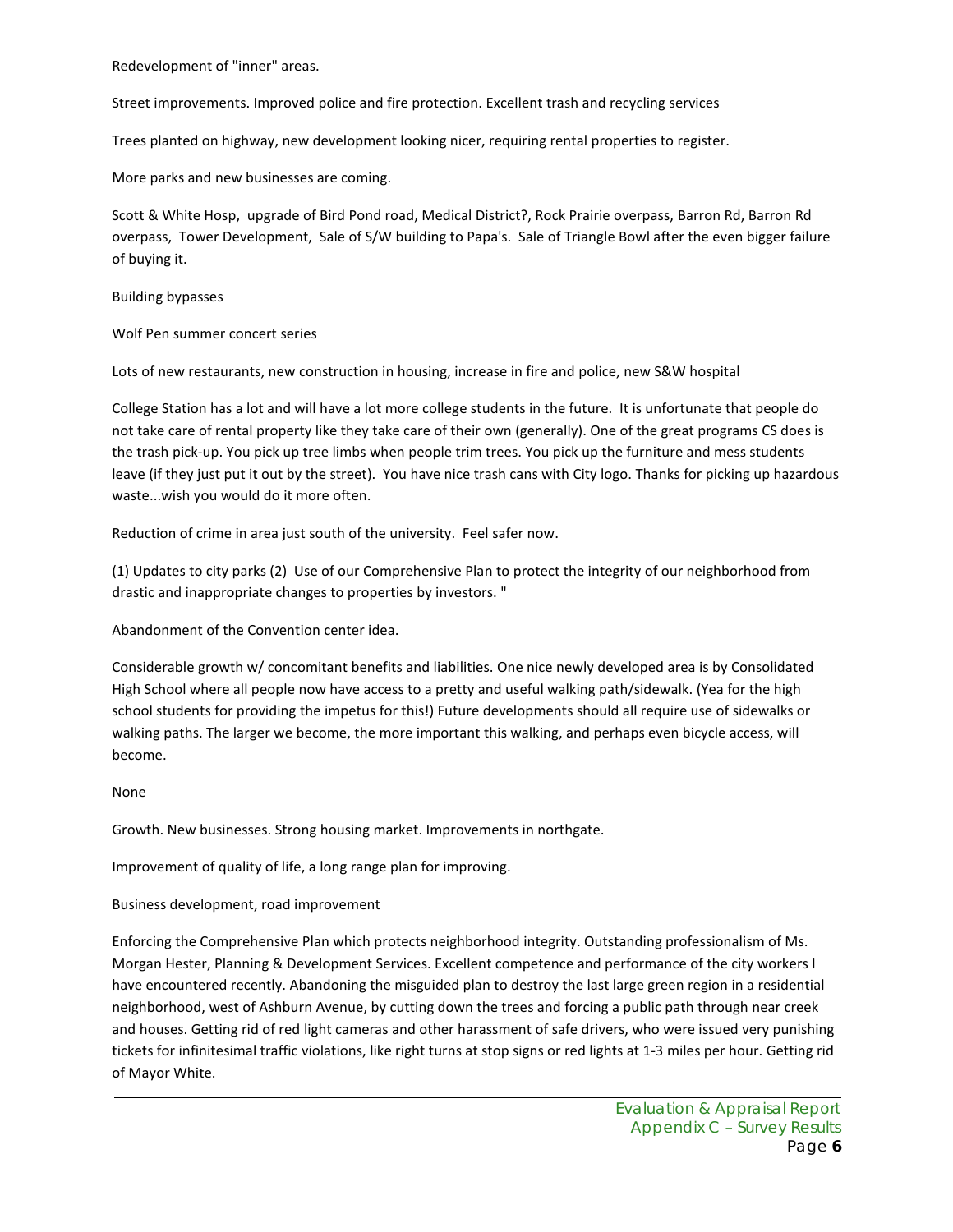Redevelopment of "inner" areas.

Street improvements. Improved police and fire protection. Excellent trash and recycling services

Trees planted on highway, new development looking nicer, requiring rental properties to register.

More parks and new businesses are coming.

Scott & White Hosp, upgrade of Bird Pond road, Medical District?, Rock Prairie overpass, Barron Rd, Barron Rd overpass, Tower Development, Sale of S/W building to Papa's. Sale of Triangle Bowl after the even bigger failure of buying it.

Building bypasses

Wolf Pen summer concert series

Lots of new restaurants, new construction in housing, increase in fire and police, new S&W hospital

College Station has a lot and will have a lot more college students in the future. It is unfortunate that people do not take care of rental property like they take care of their own (generally). One of the great programs CS does is the trash pick-up. You pick up tree limbs when people trim trees. You pick up the furniture and mess students leave (if they just put it out by the street). You have nice trash cans with City logo. Thanks for picking up hazardous waste...wish you would do it more often.

Reduction of crime in area just south of the university. Feel safer now.

(1) Updates to city parks (2) Use of our Comprehensive Plan to protect the integrity of our neighborhood from drastic and inappropriate changes to properties by investors. "

Abandonment of the Convention center idea.

Considerable growth w/ concomitant benefits and liabilities. One nice newly developed area is by Consolidated High School where all people now have access to a pretty and useful walking path/sidewalk. (Yea for the high school students for providing the impetus for this!) Future developments should all require use of sidewalks or walking paths. The larger we become, the more important this walking, and perhaps even bicycle access, will become.

#### None

Growth. New businesses. Strong housing market. Improvements in northgate.

Improvement of quality of life, a long range plan for improving.

Business development, road improvement

Enforcing the Comprehensive Plan which protects neighborhood integrity. Outstanding professionalism of Ms. Morgan Hester, Planning & Development Services. Excellent competence and performance of the city workers I have encountered recently. Abandoning the misguided plan to destroy the last large green region in a residential neighborhood, west of Ashburn Avenue, by cutting down the trees and forcing a public path through near creek and houses. Getting rid of red light cameras and other harassment of safe drivers, who were issued very punishing tickets for infinitesimal traffic violations, like right turns at stop signs or red lights at 1-3 miles per hour. Getting rid of Mayor White.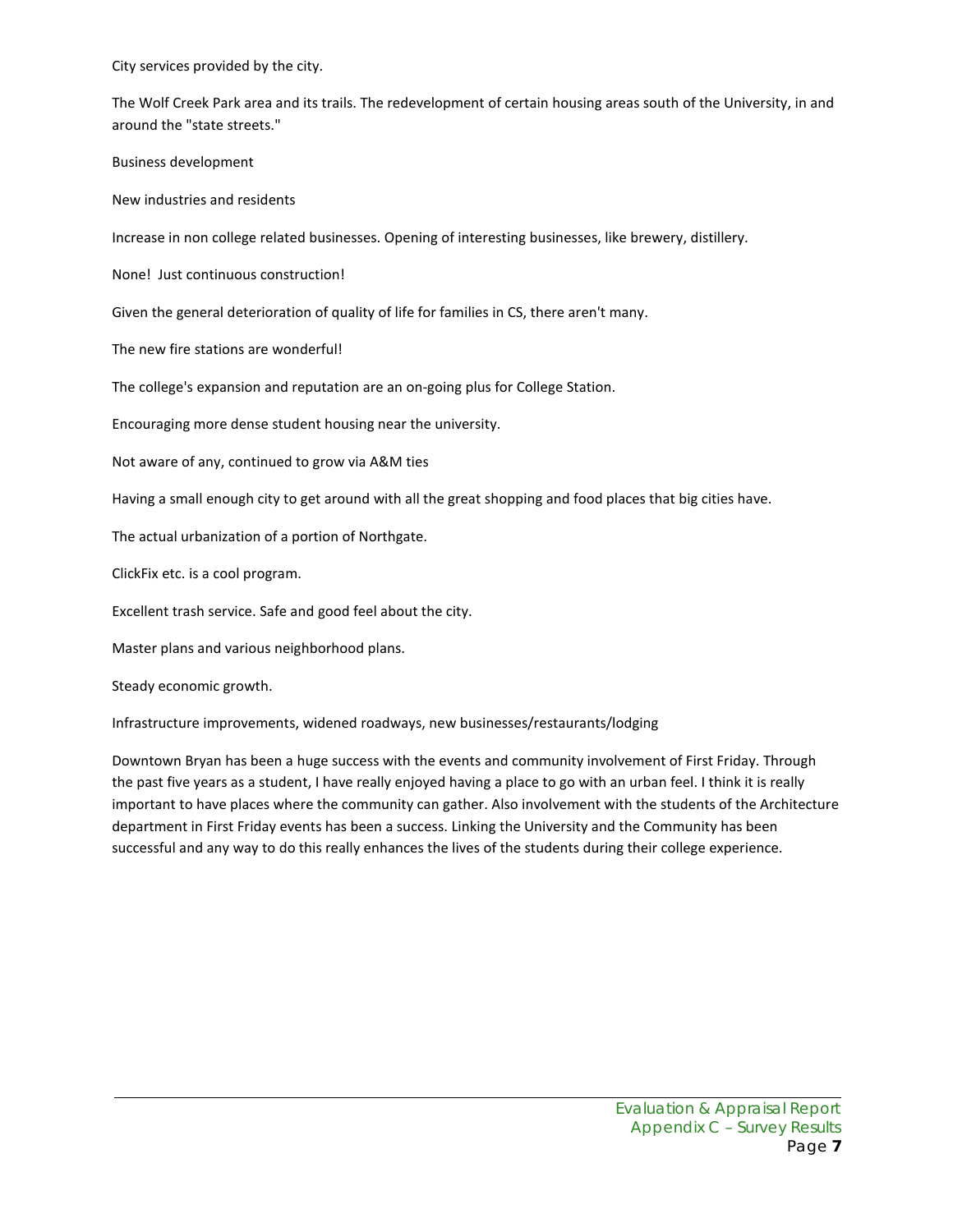City services provided by the city.

The Wolf Creek Park area and its trails. The redevelopment of certain housing areas south of the University, in and around the "state streets."

Business development

New industries and residents

Increase in non college related businesses. Opening of interesting businesses, like brewery, distillery.

None! Just continuous construction!

Given the general deterioration of quality of life for families in CS, there aren't many.

The new fire stations are wonderful!

The college's expansion and reputation are an on-going plus for College Station.

Encouraging more dense student housing near the university.

Not aware of any, continued to grow via A&M ties

Having a small enough city to get around with all the great shopping and food places that big cities have.

The actual urbanization of a portion of Northgate.

ClickFix etc. is a cool program.

Excellent trash service. Safe and good feel about the city.

Master plans and various neighborhood plans.

Steady economic growth.

Infrastructure improvements, widened roadways, new businesses/restaurants/lodging

Downtown Bryan has been a huge success with the events and community involvement of First Friday. Through the past five years as a student, I have really enjoyed having a place to go with an urban feel. I think it is really important to have places where the community can gather. Also involvement with the students of the Architecture department in First Friday events has been a success. Linking the University and the Community has been successful and any way to do this really enhances the lives of the students during their college experience.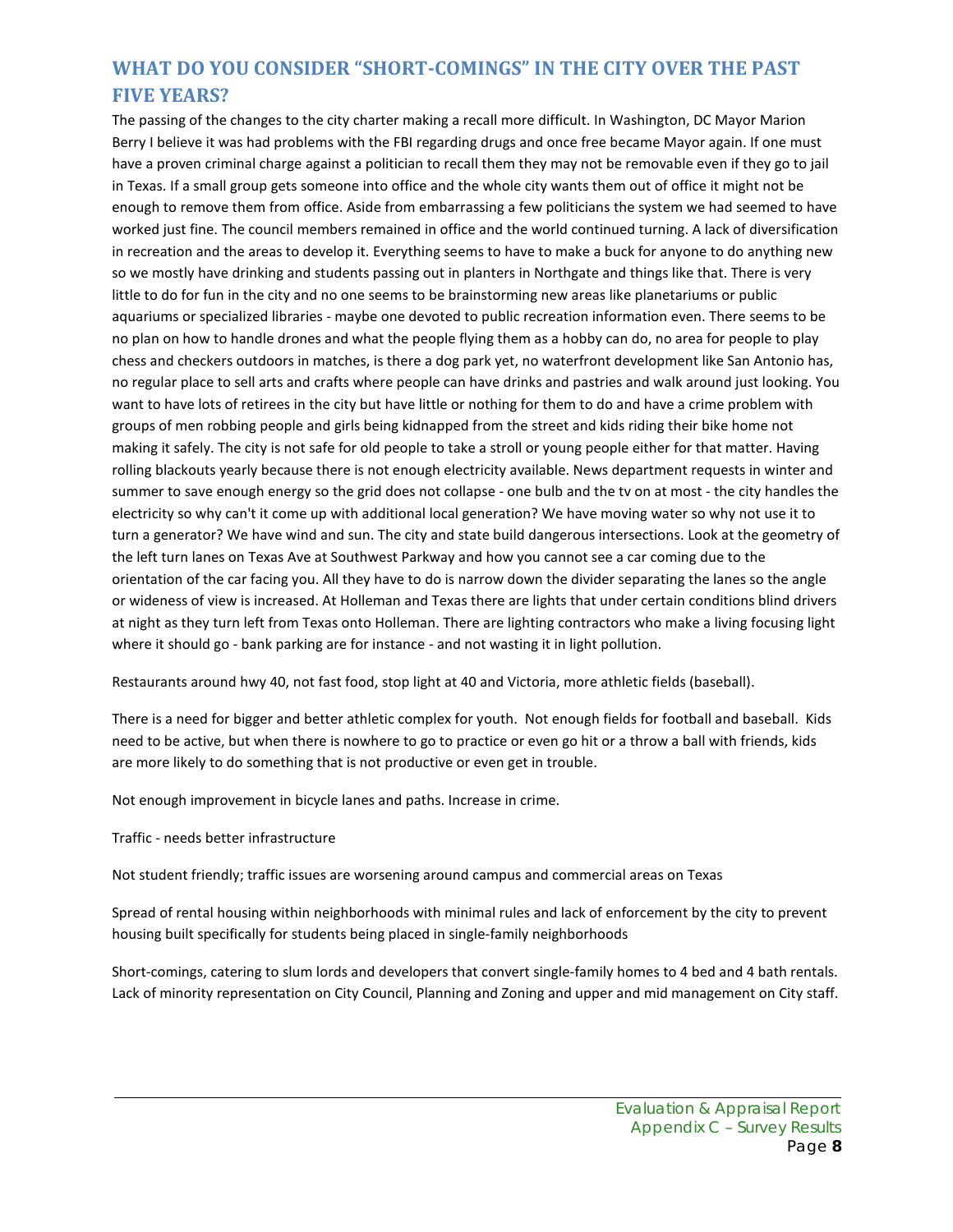# **WHAT DO YOU CONSIDER "SHORT-COMINGS" IN THE CITY OVER THE PAST FIVE YEARS?**

The passing of the changes to the city charter making a recall more difficult. In Washington, DC Mayor Marion Berry I believe it was had problems with the FBI regarding drugs and once free became Mayor again. If one must have a proven criminal charge against a politician to recall them they may not be removable even if they go to jail in Texas. If a small group gets someone into office and the whole city wants them out of office it might not be enough to remove them from office. Aside from embarrassing a few politicians the system we had seemed to have worked just fine. The council members remained in office and the world continued turning. A lack of diversification in recreation and the areas to develop it. Everything seems to have to make a buck for anyone to do anything new so we mostly have drinking and students passing out in planters in Northgate and things like that. There is very little to do for fun in the city and no one seems to be brainstorming new areas like planetariums or public aquariums or specialized libraries - maybe one devoted to public recreation information even. There seems to be no plan on how to handle drones and what the people flying them as a hobby can do, no area for people to play chess and checkers outdoors in matches, is there a dog park yet, no waterfront development like San Antonio has, no regular place to sell arts and crafts where people can have drinks and pastries and walk around just looking. You want to have lots of retirees in the city but have little or nothing for them to do and have a crime problem with groups of men robbing people and girls being kidnapped from the street and kids riding their bike home not making it safely. The city is not safe for old people to take a stroll or young people either for that matter. Having rolling blackouts yearly because there is not enough electricity available. News department requests in winter and summer to save enough energy so the grid does not collapse - one bulb and the tv on at most - the city handles the electricity so why can't it come up with additional local generation? We have moving water so why not use it to turn a generator? We have wind and sun. The city and state build dangerous intersections. Look at the geometry of the left turn lanes on Texas Ave at Southwest Parkway and how you cannot see a car coming due to the orientation of the car facing you. All they have to do is narrow down the divider separating the lanes so the angle or wideness of view is increased. At Holleman and Texas there are lights that under certain conditions blind drivers at night as they turn left from Texas onto Holleman. There are lighting contractors who make a living focusing light where it should go - bank parking are for instance - and not wasting it in light pollution.

Restaurants around hwy 40, not fast food, stop light at 40 and Victoria, more athletic fields (baseball).

There is a need for bigger and better athletic complex for youth. Not enough fields for football and baseball. Kids need to be active, but when there is nowhere to go to practice or even go hit or a throw a ball with friends, kids are more likely to do something that is not productive or even get in trouble.

Not enough improvement in bicycle lanes and paths. Increase in crime.

Traffic - needs better infrastructure

Not student friendly; traffic issues are worsening around campus and commercial areas on Texas

Spread of rental housing within neighborhoods with minimal rules and lack of enforcement by the city to prevent housing built specifically for students being placed in single-family neighborhoods

Short-comings, catering to slum lords and developers that convert single-family homes to 4 bed and 4 bath rentals. Lack of minority representation on City Council, Planning and Zoning and upper and mid management on City staff.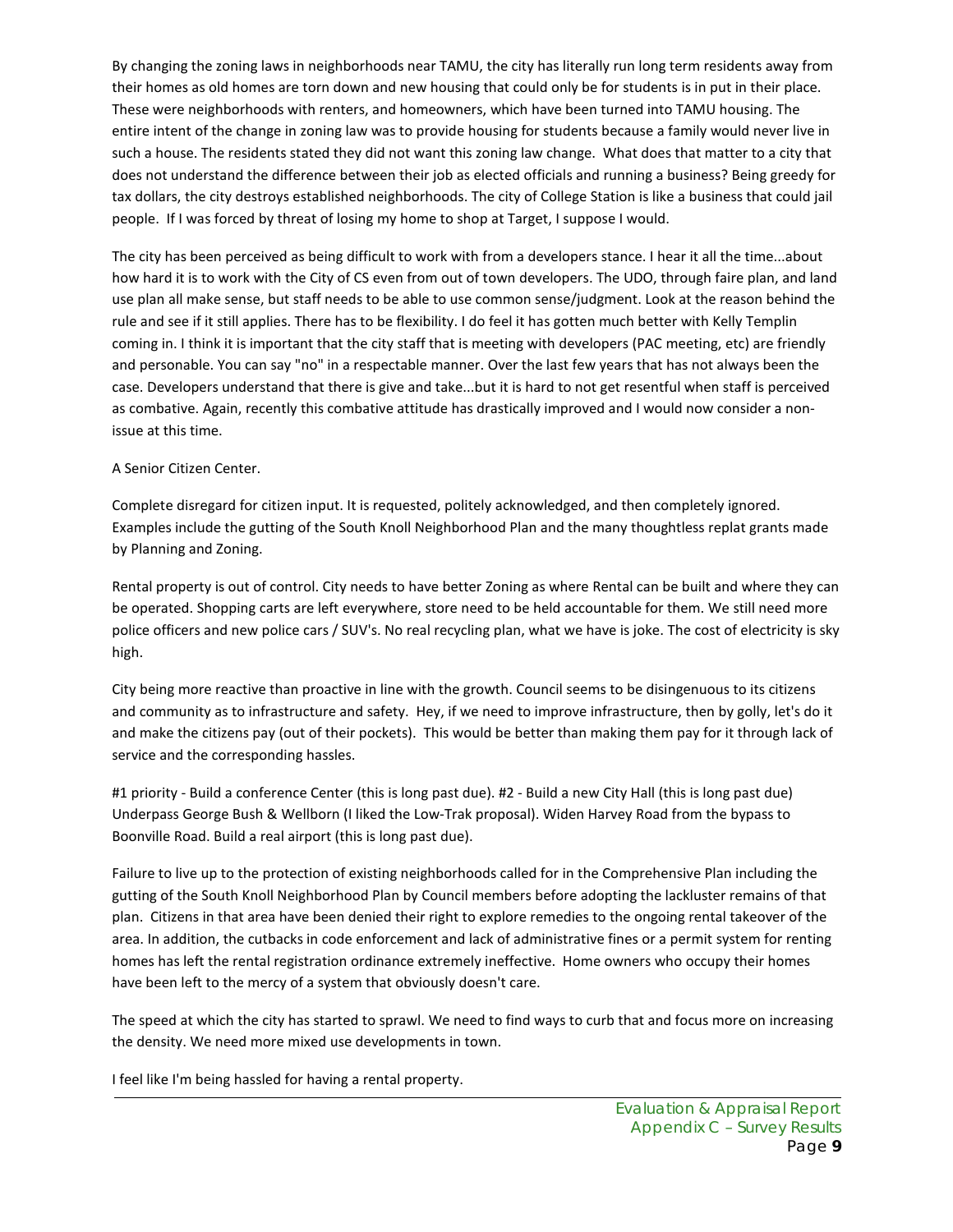By changing the zoning laws in neighborhoods near TAMU, the city has literally run long term residents away from their homes as old homes are torn down and new housing that could only be for students is in put in their place. These were neighborhoods with renters, and homeowners, which have been turned into TAMU housing. The entire intent of the change in zoning law was to provide housing for students because a family would never live in such a house. The residents stated they did not want this zoning law change. What does that matter to a city that does not understand the difference between their job as elected officials and running a business? Being greedy for tax dollars, the city destroys established neighborhoods. The city of College Station is like a business that could jail people. If I was forced by threat of losing my home to shop at Target, I suppose I would.

The city has been perceived as being difficult to work with from a developers stance. I hear it all the time...about how hard it is to work with the City of CS even from out of town developers. The UDO, through faire plan, and land use plan all make sense, but staff needs to be able to use common sense/judgment. Look at the reason behind the rule and see if it still applies. There has to be flexibility. I do feel it has gotten much better with Kelly Templin coming in. I think it is important that the city staff that is meeting with developers (PAC meeting, etc) are friendly and personable. You can say "no" in a respectable manner. Over the last few years that has not always been the case. Developers understand that there is give and take...but it is hard to not get resentful when staff is perceived as combative. Again, recently this combative attitude has drastically improved and I would now consider a nonissue at this time.

#### A Senior Citizen Center.

Complete disregard for citizen input. It is requested, politely acknowledged, and then completely ignored. Examples include the gutting of the South Knoll Neighborhood Plan and the many thoughtless replat grants made by Planning and Zoning.

Rental property is out of control. City needs to have better Zoning as where Rental can be built and where they can be operated. Shopping carts are left everywhere, store need to be held accountable for them. We still need more police officers and new police cars / SUV's. No real recycling plan, what we have is joke. The cost of electricity is sky high.

City being more reactive than proactive in line with the growth. Council seems to be disingenuous to its citizens and community as to infrastructure and safety. Hey, if we need to improve infrastructure, then by golly, let's do it and make the citizens pay (out of their pockets). This would be better than making them pay for it through lack of service and the corresponding hassles.

#1 priority - Build a conference Center (this is long past due). #2 - Build a new City Hall (this is long past due) Underpass George Bush & Wellborn (I liked the Low-Trak proposal). Widen Harvey Road from the bypass to Boonville Road. Build a real airport (this is long past due).

Failure to live up to the protection of existing neighborhoods called for in the Comprehensive Plan including the gutting of the South Knoll Neighborhood Plan by Council members before adopting the lackluster remains of that plan. Citizens in that area have been denied their right to explore remedies to the ongoing rental takeover of the area. In addition, the cutbacks in code enforcement and lack of administrative fines or a permit system for renting homes has left the rental registration ordinance extremely ineffective. Home owners who occupy their homes have been left to the mercy of a system that obviously doesn't care.

The speed at which the city has started to sprawl. We need to find ways to curb that and focus more on increasing the density. We need more mixed use developments in town.

I feel like I'm being hassled for having a rental property.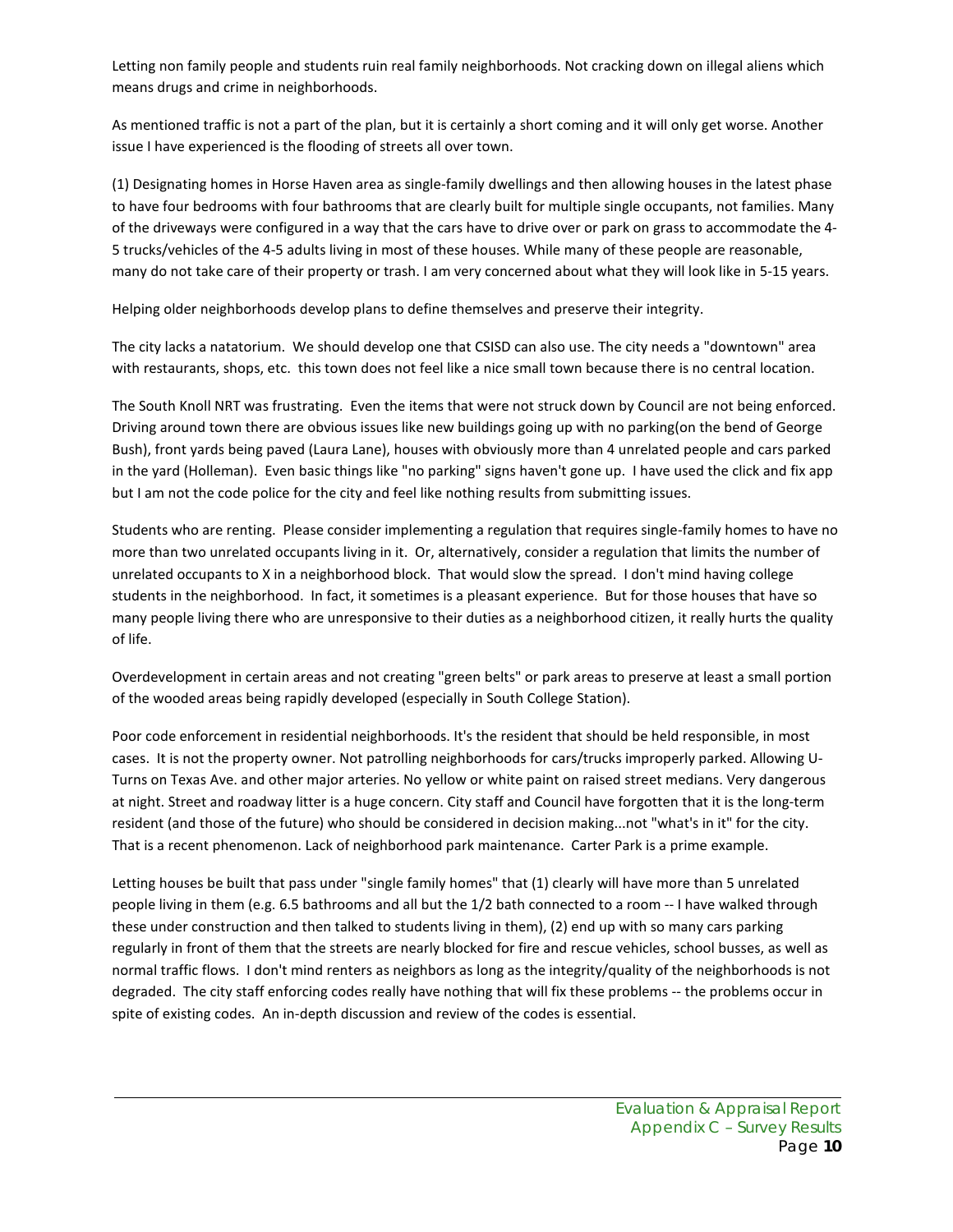Letting non family people and students ruin real family neighborhoods. Not cracking down on illegal aliens which means drugs and crime in neighborhoods.

As mentioned traffic is not a part of the plan, but it is certainly a short coming and it will only get worse. Another issue I have experienced is the flooding of streets all over town.

(1) Designating homes in Horse Haven area as single-family dwellings and then allowing houses in the latest phase to have four bedrooms with four bathrooms that are clearly built for multiple single occupants, not families. Many of the driveways were configured in a way that the cars have to drive over or park on grass to accommodate the 4- 5 trucks/vehicles of the 4-5 adults living in most of these houses. While many of these people are reasonable, many do not take care of their property or trash. I am very concerned about what they will look like in 5-15 years.

Helping older neighborhoods develop plans to define themselves and preserve their integrity.

The city lacks a natatorium. We should develop one that CSISD can also use. The city needs a "downtown" area with restaurants, shops, etc. this town does not feel like a nice small town because there is no central location.

The South Knoll NRT was frustrating. Even the items that were not struck down by Council are not being enforced. Driving around town there are obvious issues like new buildings going up with no parking(on the bend of George Bush), front yards being paved (Laura Lane), houses with obviously more than 4 unrelated people and cars parked in the yard (Holleman). Even basic things like "no parking" signs haven't gone up. I have used the click and fix app but I am not the code police for the city and feel like nothing results from submitting issues.

Students who are renting. Please consider implementing a regulation that requires single-family homes to have no more than two unrelated occupants living in it. Or, alternatively, consider a regulation that limits the number of unrelated occupants to X in a neighborhood block. That would slow the spread. I don't mind having college students in the neighborhood. In fact, it sometimes is a pleasant experience. But for those houses that have so many people living there who are unresponsive to their duties as a neighborhood citizen, it really hurts the quality of life.

Overdevelopment in certain areas and not creating "green belts" or park areas to preserve at least a small portion of the wooded areas being rapidly developed (especially in South College Station).

Poor code enforcement in residential neighborhoods. It's the resident that should be held responsible, in most cases. It is not the property owner. Not patrolling neighborhoods for cars/trucks improperly parked. Allowing U-Turns on Texas Ave. and other major arteries. No yellow or white paint on raised street medians. Very dangerous at night. Street and roadway litter is a huge concern. City staff and Council have forgotten that it is the long-term resident (and those of the future) who should be considered in decision making...not "what's in it" for the city. That is a recent phenomenon. Lack of neighborhood park maintenance. Carter Park is a prime example.

Letting houses be built that pass under "single family homes" that (1) clearly will have more than 5 unrelated people living in them (e.g. 6.5 bathrooms and all but the 1/2 bath connected to a room -- I have walked through these under construction and then talked to students living in them), (2) end up with so many cars parking regularly in front of them that the streets are nearly blocked for fire and rescue vehicles, school busses, as well as normal traffic flows. I don't mind renters as neighbors as long as the integrity/quality of the neighborhoods is not degraded. The city staff enforcing codes really have nothing that will fix these problems -- the problems occur in spite of existing codes. An in-depth discussion and review of the codes is essential.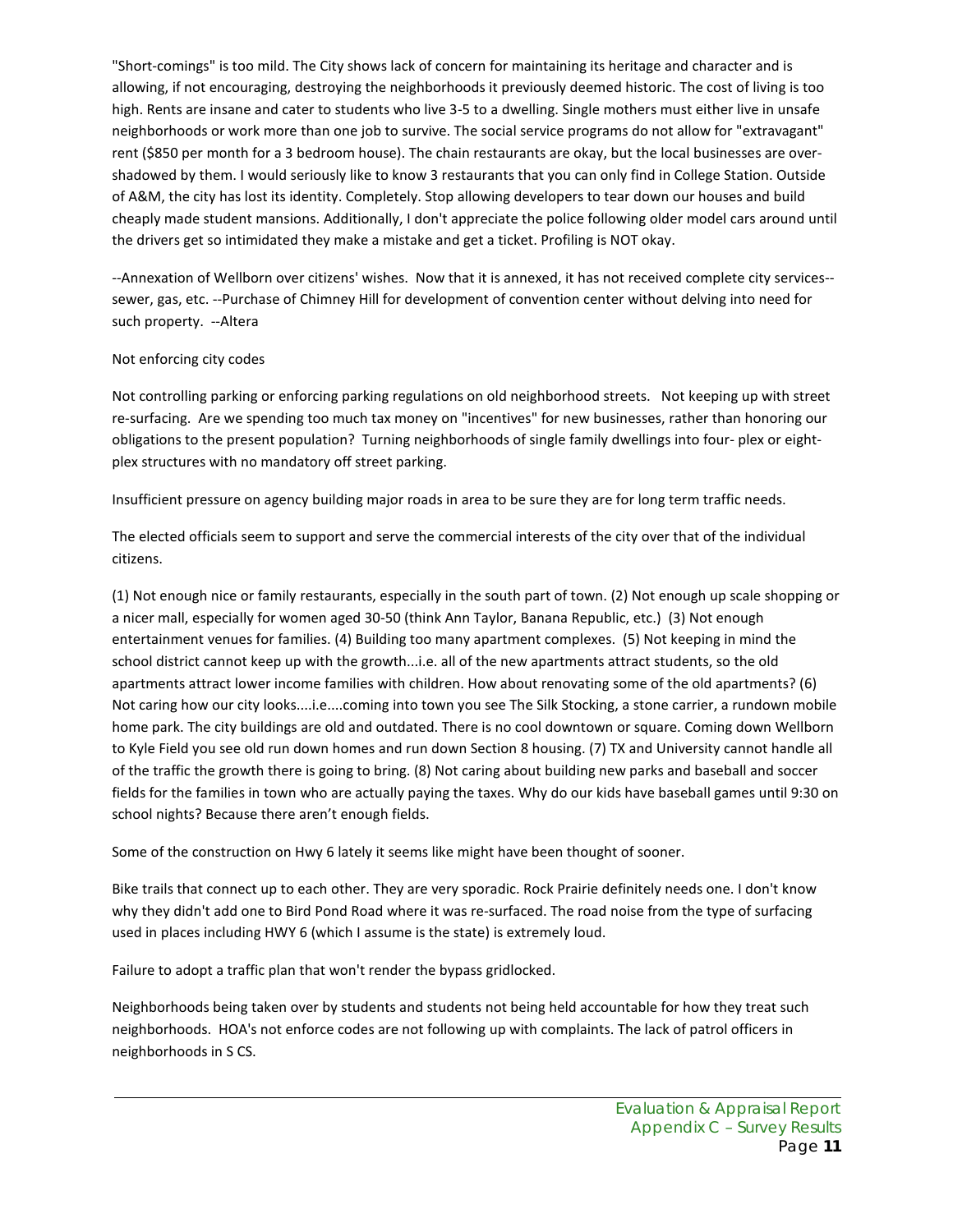"Short-comings" is too mild. The City shows lack of concern for maintaining its heritage and character and is allowing, if not encouraging, destroying the neighborhoods it previously deemed historic. The cost of living is too high. Rents are insane and cater to students who live 3-5 to a dwelling. Single mothers must either live in unsafe neighborhoods or work more than one job to survive. The social service programs do not allow for "extravagant" rent (\$850 per month for a 3 bedroom house). The chain restaurants are okay, but the local businesses are overshadowed by them. I would seriously like to know 3 restaurants that you can only find in College Station. Outside of A&M, the city has lost its identity. Completely. Stop allowing developers to tear down our houses and build cheaply made student mansions. Additionally, I don't appreciate the police following older model cars around until the drivers get so intimidated they make a mistake and get a ticket. Profiling is NOT okay.

--Annexation of Wellborn over citizens' wishes. Now that it is annexed, it has not received complete city services- sewer, gas, etc. --Purchase of Chimney Hill for development of convention center without delving into need for such property. --Altera

#### Not enforcing city codes

Not controlling parking or enforcing parking regulations on old neighborhood streets. Not keeping up with street re-surfacing. Are we spending too much tax money on "incentives" for new businesses, rather than honoring our obligations to the present population? Turning neighborhoods of single family dwellings into four- plex or eightplex structures with no mandatory off street parking.

Insufficient pressure on agency building major roads in area to be sure they are for long term traffic needs.

The elected officials seem to support and serve the commercial interests of the city over that of the individual citizens.

(1) Not enough nice or family restaurants, especially in the south part of town. (2) Not enough up scale shopping or a nicer mall, especially for women aged 30-50 (think Ann Taylor, Banana Republic, etc.) (3) Not enough entertainment venues for families. (4) Building too many apartment complexes. (5) Not keeping in mind the school district cannot keep up with the growth...i.e. all of the new apartments attract students, so the old apartments attract lower income families with children. How about renovating some of the old apartments? (6) Not caring how our city looks....i.e....coming into town you see The Silk Stocking, a stone carrier, a rundown mobile home park. The city buildings are old and outdated. There is no cool downtown or square. Coming down Wellborn to Kyle Field you see old run down homes and run down Section 8 housing. (7) TX and University cannot handle all of the traffic the growth there is going to bring. (8) Not caring about building new parks and baseball and soccer fields for the families in town who are actually paying the taxes. Why do our kids have baseball games until 9:30 on school nights? Because there aren't enough fields.

Some of the construction on Hwy 6 lately it seems like might have been thought of sooner.

Bike trails that connect up to each other. They are very sporadic. Rock Prairie definitely needs one. I don't know why they didn't add one to Bird Pond Road where it was re-surfaced. The road noise from the type of surfacing used in places including HWY 6 (which I assume is the state) is extremely loud.

Failure to adopt a traffic plan that won't render the bypass gridlocked.

Neighborhoods being taken over by students and students not being held accountable for how they treat such neighborhoods. HOA's not enforce codes are not following up with complaints. The lack of patrol officers in neighborhoods in S CS.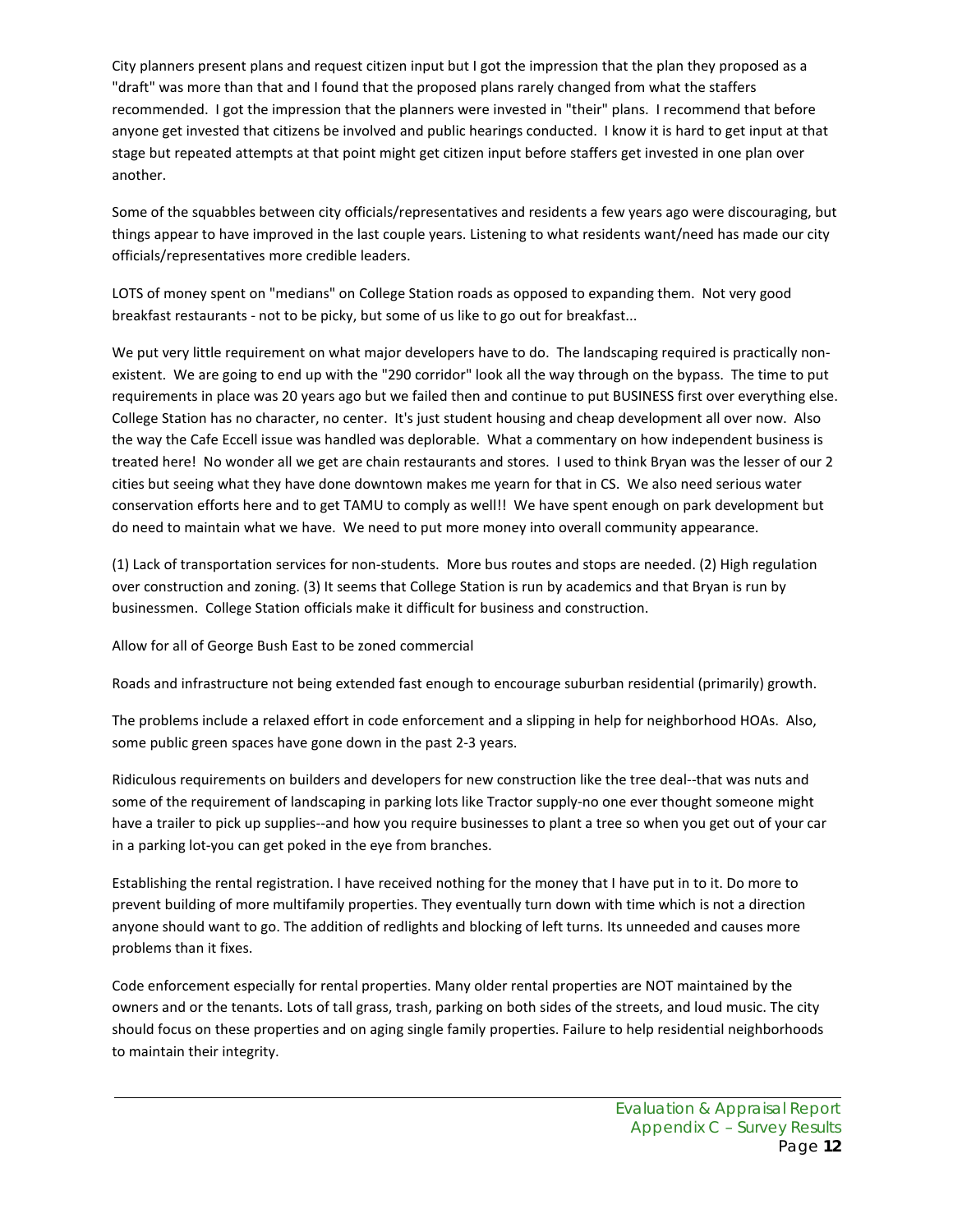City planners present plans and request citizen input but I got the impression that the plan they proposed as a "draft" was more than that and I found that the proposed plans rarely changed from what the staffers recommended. I got the impression that the planners were invested in "their" plans. I recommend that before anyone get invested that citizens be involved and public hearings conducted. I know it is hard to get input at that stage but repeated attempts at that point might get citizen input before staffers get invested in one plan over another.

Some of the squabbles between city officials/representatives and residents a few years ago were discouraging, but things appear to have improved in the last couple years. Listening to what residents want/need has made our city officials/representatives more credible leaders.

LOTS of money spent on "medians" on College Station roads as opposed to expanding them. Not very good breakfast restaurants - not to be picky, but some of us like to go out for breakfast...

We put very little requirement on what major developers have to do. The landscaping required is practically nonexistent. We are going to end up with the "290 corridor" look all the way through on the bypass. The time to put requirements in place was 20 years ago but we failed then and continue to put BUSINESS first over everything else. College Station has no character, no center. It's just student housing and cheap development all over now. Also the way the Cafe Eccell issue was handled was deplorable. What a commentary on how independent business is treated here! No wonder all we get are chain restaurants and stores. I used to think Bryan was the lesser of our 2 cities but seeing what they have done downtown makes me yearn for that in CS. We also need serious water conservation efforts here and to get TAMU to comply as well!! We have spent enough on park development but do need to maintain what we have. We need to put more money into overall community appearance.

(1) Lack of transportation services for non-students. More bus routes and stops are needed. (2) High regulation over construction and zoning. (3) It seems that College Station is run by academics and that Bryan is run by businessmen. College Station officials make it difficult for business and construction.

Allow for all of George Bush East to be zoned commercial

Roads and infrastructure not being extended fast enough to encourage suburban residential (primarily) growth.

The problems include a relaxed effort in code enforcement and a slipping in help for neighborhood HOAs. Also, some public green spaces have gone down in the past 2-3 years.

Ridiculous requirements on builders and developers for new construction like the tree deal--that was nuts and some of the requirement of landscaping in parking lots like Tractor supply-no one ever thought someone might have a trailer to pick up supplies--and how you require businesses to plant a tree so when you get out of your car in a parking lot-you can get poked in the eye from branches.

Establishing the rental registration. I have received nothing for the money that I have put in to it. Do more to prevent building of more multifamily properties. They eventually turn down with time which is not a direction anyone should want to go. The addition of redlights and blocking of left turns. Its unneeded and causes more problems than it fixes.

Code enforcement especially for rental properties. Many older rental properties are NOT maintained by the owners and or the tenants. Lots of tall grass, trash, parking on both sides of the streets, and loud music. The city should focus on these properties and on aging single family properties. Failure to help residential neighborhoods to maintain their integrity.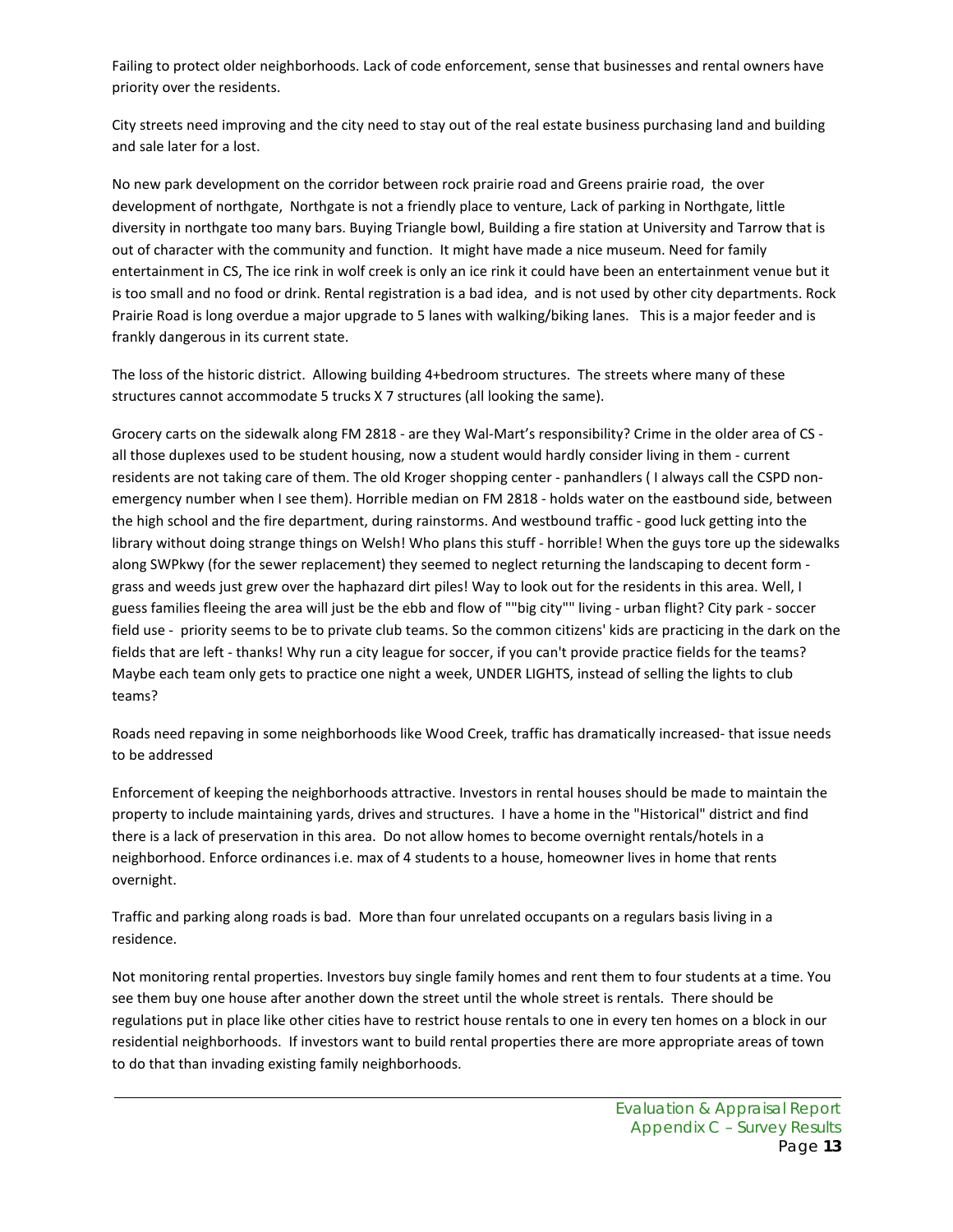Failing to protect older neighborhoods. Lack of code enforcement, sense that businesses and rental owners have priority over the residents.

City streets need improving and the city need to stay out of the real estate business purchasing land and building and sale later for a lost.

No new park development on the corridor between rock prairie road and Greens prairie road, the over development of northgate, Northgate is not a friendly place to venture, Lack of parking in Northgate, little diversity in northgate too many bars. Buying Triangle bowl, Building a fire station at University and Tarrow that is out of character with the community and function. It might have made a nice museum. Need for family entertainment in CS, The ice rink in wolf creek is only an ice rink it could have been an entertainment venue but it is too small and no food or drink. Rental registration is a bad idea, and is not used by other city departments. Rock Prairie Road is long overdue a major upgrade to 5 lanes with walking/biking lanes. This is a major feeder and is frankly dangerous in its current state.

The loss of the historic district. Allowing building 4+bedroom structures. The streets where many of these structures cannot accommodate 5 trucks X 7 structures (all looking the same).

Grocery carts on the sidewalk along FM 2818 - are they Wal-Mart's responsibility? Crime in the older area of CS all those duplexes used to be student housing, now a student would hardly consider living in them - current residents are not taking care of them. The old Kroger shopping center - panhandlers ( I always call the CSPD nonemergency number when I see them). Horrible median on FM 2818 - holds water on the eastbound side, between the high school and the fire department, during rainstorms. And westbound traffic - good luck getting into the library without doing strange things on Welsh! Who plans this stuff - horrible! When the guys tore up the sidewalks along SWPkwy (for the sewer replacement) they seemed to neglect returning the landscaping to decent form grass and weeds just grew over the haphazard dirt piles! Way to look out for the residents in this area. Well, I guess families fleeing the area will just be the ebb and flow of ""big city"" living - urban flight? City park - soccer field use - priority seems to be to private club teams. So the common citizens' kids are practicing in the dark on the fields that are left - thanks! Why run a city league for soccer, if you can't provide practice fields for the teams? Maybe each team only gets to practice one night a week, UNDER LIGHTS, instead of selling the lights to club teams?

Roads need repaving in some neighborhoods like Wood Creek, traffic has dramatically increased- that issue needs to be addressed

Enforcement of keeping the neighborhoods attractive. Investors in rental houses should be made to maintain the property to include maintaining yards, drives and structures. I have a home in the "Historical" district and find there is a lack of preservation in this area. Do not allow homes to become overnight rentals/hotels in a neighborhood. Enforce ordinances i.e. max of 4 students to a house, homeowner lives in home that rents overnight.

Traffic and parking along roads is bad. More than four unrelated occupants on a regulars basis living in a residence.

Not monitoring rental properties. Investors buy single family homes and rent them to four students at a time. You see them buy one house after another down the street until the whole street is rentals. There should be regulations put in place like other cities have to restrict house rentals to one in every ten homes on a block in our residential neighborhoods. If investors want to build rental properties there are more appropriate areas of town to do that than invading existing family neighborhoods.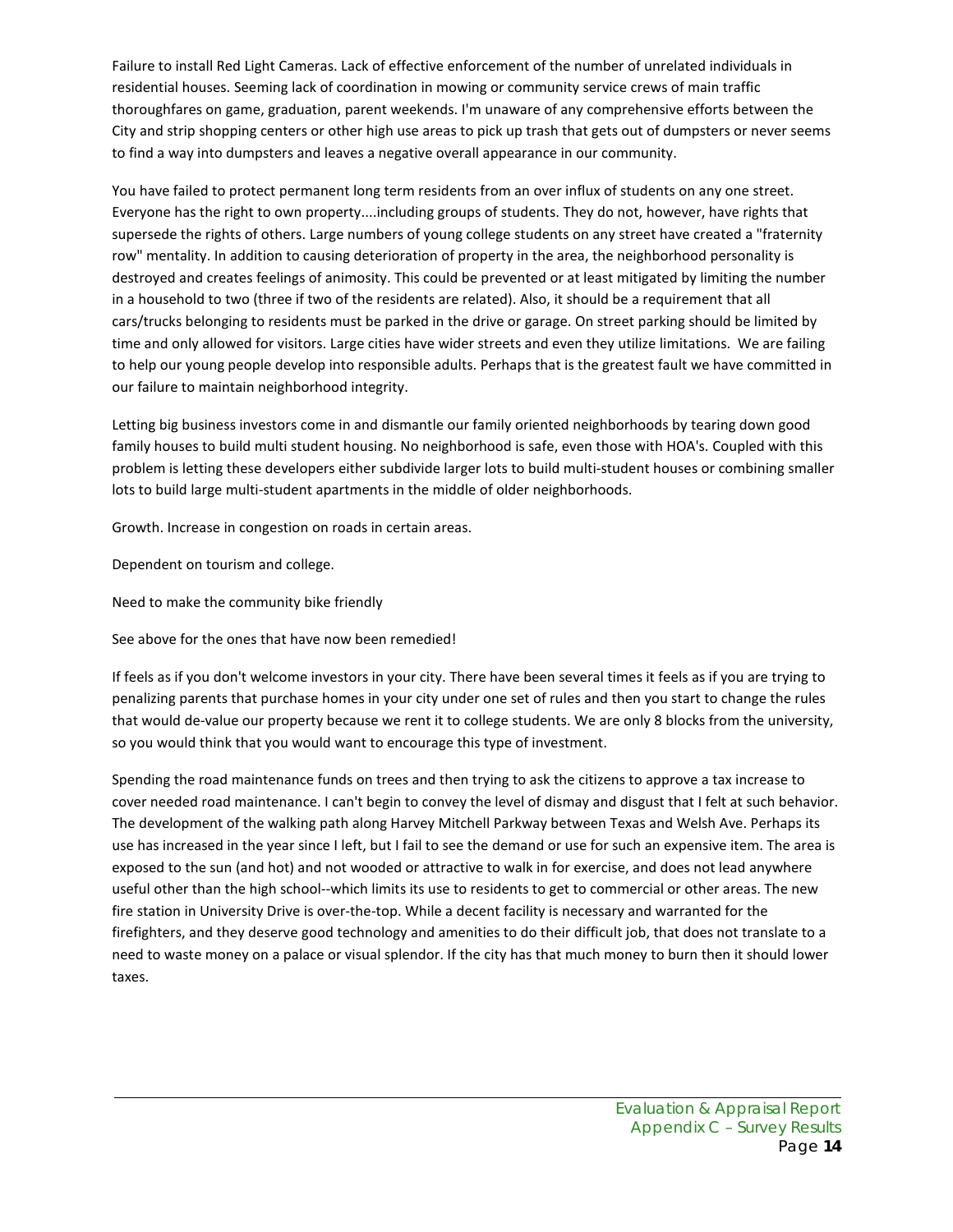Failure to install Red Light Cameras. Lack of effective enforcement of the number of unrelated individuals in residential houses. Seeming lack of coordination in mowing or community service crews of main traffic thoroughfares on game, graduation, parent weekends. I'm unaware of any comprehensive efforts between the City and strip shopping centers or other high use areas to pick up trash that gets out of dumpsters or never seems to find a way into dumpsters and leaves a negative overall appearance in our community.

You have failed to protect permanent long term residents from an over influx of students on any one street. Everyone has the right to own property....including groups of students. They do not, however, have rights that supersede the rights of others. Large numbers of young college students on any street have created a "fraternity row" mentality. In addition to causing deterioration of property in the area, the neighborhood personality is destroyed and creates feelings of animosity. This could be prevented or at least mitigated by limiting the number in a household to two (three if two of the residents are related). Also, it should be a requirement that all cars/trucks belonging to residents must be parked in the drive or garage. On street parking should be limited by time and only allowed for visitors. Large cities have wider streets and even they utilize limitations. We are failing to help our young people develop into responsible adults. Perhaps that is the greatest fault we have committed in our failure to maintain neighborhood integrity.

Letting big business investors come in and dismantle our family oriented neighborhoods by tearing down good family houses to build multi student housing. No neighborhood is safe, even those with HOA's. Coupled with this problem is letting these developers either subdivide larger lots to build multi-student houses or combining smaller lots to build large multi-student apartments in the middle of older neighborhoods.

Growth. Increase in congestion on roads in certain areas.

Dependent on tourism and college.

Need to make the community bike friendly

See above for the ones that have now been remedied!

If feels as if you don't welcome investors in your city. There have been several times it feels as if you are trying to penalizing parents that purchase homes in your city under one set of rules and then you start to change the rules that would de-value our property because we rent it to college students. We are only 8 blocks from the university, so you would think that you would want to encourage this type of investment.

Spending the road maintenance funds on trees and then trying to ask the citizens to approve a tax increase to cover needed road maintenance. I can't begin to convey the level of dismay and disgust that I felt at such behavior. The development of the walking path along Harvey Mitchell Parkway between Texas and Welsh Ave. Perhaps its use has increased in the year since I left, but I fail to see the demand or use for such an expensive item. The area is exposed to the sun (and hot) and not wooded or attractive to walk in for exercise, and does not lead anywhere useful other than the high school--which limits its use to residents to get to commercial or other areas. The new fire station in University Drive is over-the-top. While a decent facility is necessary and warranted for the firefighters, and they deserve good technology and amenities to do their difficult job, that does not translate to a need to waste money on a palace or visual splendor. If the city has that much money to burn then it should lower taxes.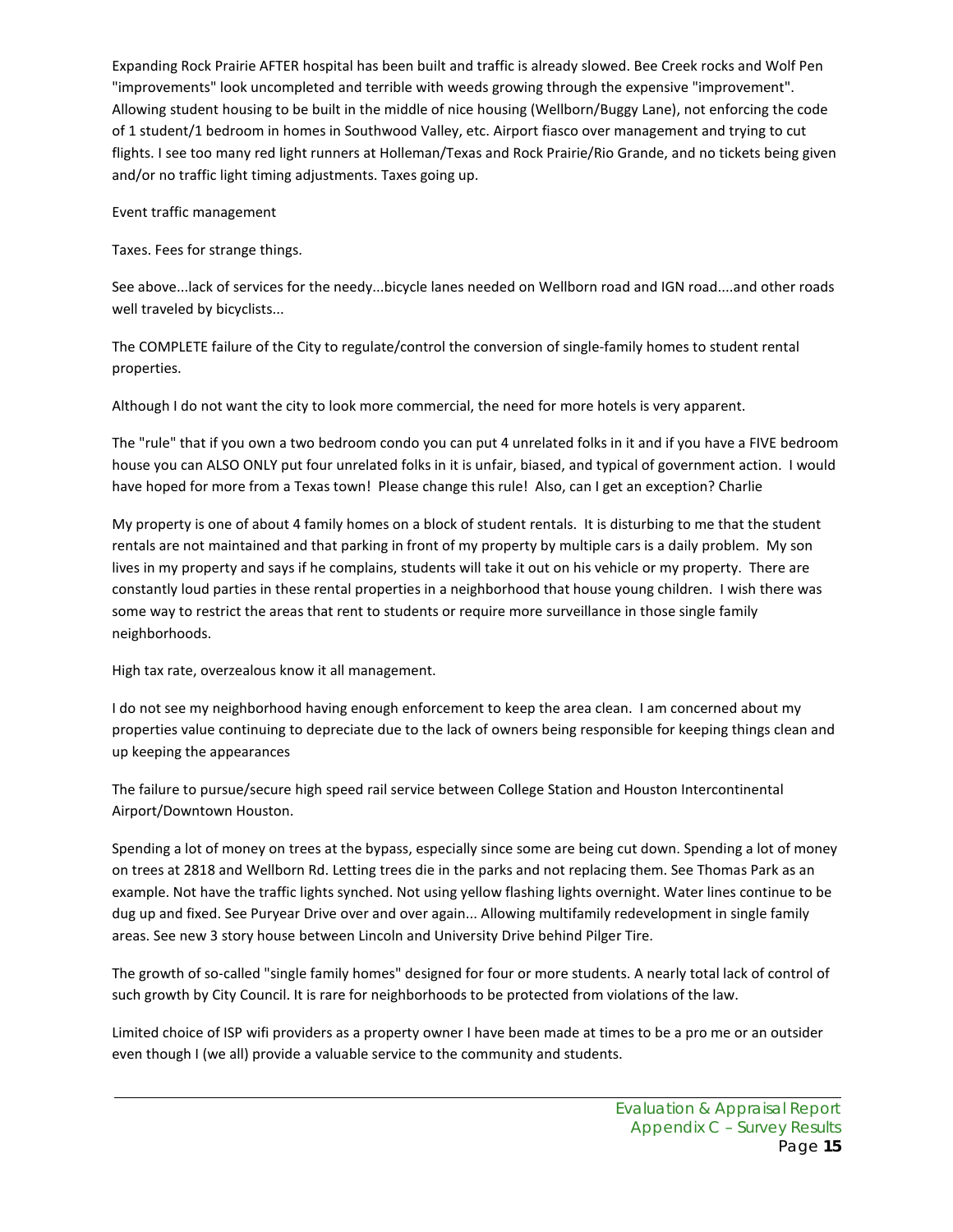Expanding Rock Prairie AFTER hospital has been built and traffic is already slowed. Bee Creek rocks and Wolf Pen "improvements" look uncompleted and terrible with weeds growing through the expensive "improvement". Allowing student housing to be built in the middle of nice housing (Wellborn/Buggy Lane), not enforcing the code of 1 student/1 bedroom in homes in Southwood Valley, etc. Airport fiasco over management and trying to cut flights. I see too many red light runners at Holleman/Texas and Rock Prairie/Rio Grande, and no tickets being given and/or no traffic light timing adjustments. Taxes going up.

Event traffic management

Taxes. Fees for strange things.

See above...lack of services for the needy...bicycle lanes needed on Wellborn road and IGN road....and other roads well traveled by bicyclists...

The COMPLETE failure of the City to regulate/control the conversion of single-family homes to student rental properties.

Although I do not want the city to look more commercial, the need for more hotels is very apparent.

The "rule" that if you own a two bedroom condo you can put 4 unrelated folks in it and if you have a FIVE bedroom house you can ALSO ONLY put four unrelated folks in it is unfair, biased, and typical of government action. I would have hoped for more from a Texas town! Please change this rule! Also, can I get an exception? Charlie

My property is one of about 4 family homes on a block of student rentals. It is disturbing to me that the student rentals are not maintained and that parking in front of my property by multiple cars is a daily problem. My son lives in my property and says if he complains, students will take it out on his vehicle or my property. There are constantly loud parties in these rental properties in a neighborhood that house young children. I wish there was some way to restrict the areas that rent to students or require more surveillance in those single family neighborhoods.

High tax rate, overzealous know it all management.

I do not see my neighborhood having enough enforcement to keep the area clean. I am concerned about my properties value continuing to depreciate due to the lack of owners being responsible for keeping things clean and up keeping the appearances

The failure to pursue/secure high speed rail service between College Station and Houston Intercontinental Airport/Downtown Houston.

Spending a lot of money on trees at the bypass, especially since some are being cut down. Spending a lot of money on trees at 2818 and Wellborn Rd. Letting trees die in the parks and not replacing them. See Thomas Park as an example. Not have the traffic lights synched. Not using yellow flashing lights overnight. Water lines continue to be dug up and fixed. See Puryear Drive over and over again... Allowing multifamily redevelopment in single family areas. See new 3 story house between Lincoln and University Drive behind Pilger Tire.

The growth of so-called "single family homes" designed for four or more students. A nearly total lack of control of such growth by City Council. It is rare for neighborhoods to be protected from violations of the law.

Limited choice of ISP wifi providers as a property owner I have been made at times to be a pro me or an outsider even though I (we all) provide a valuable service to the community and students.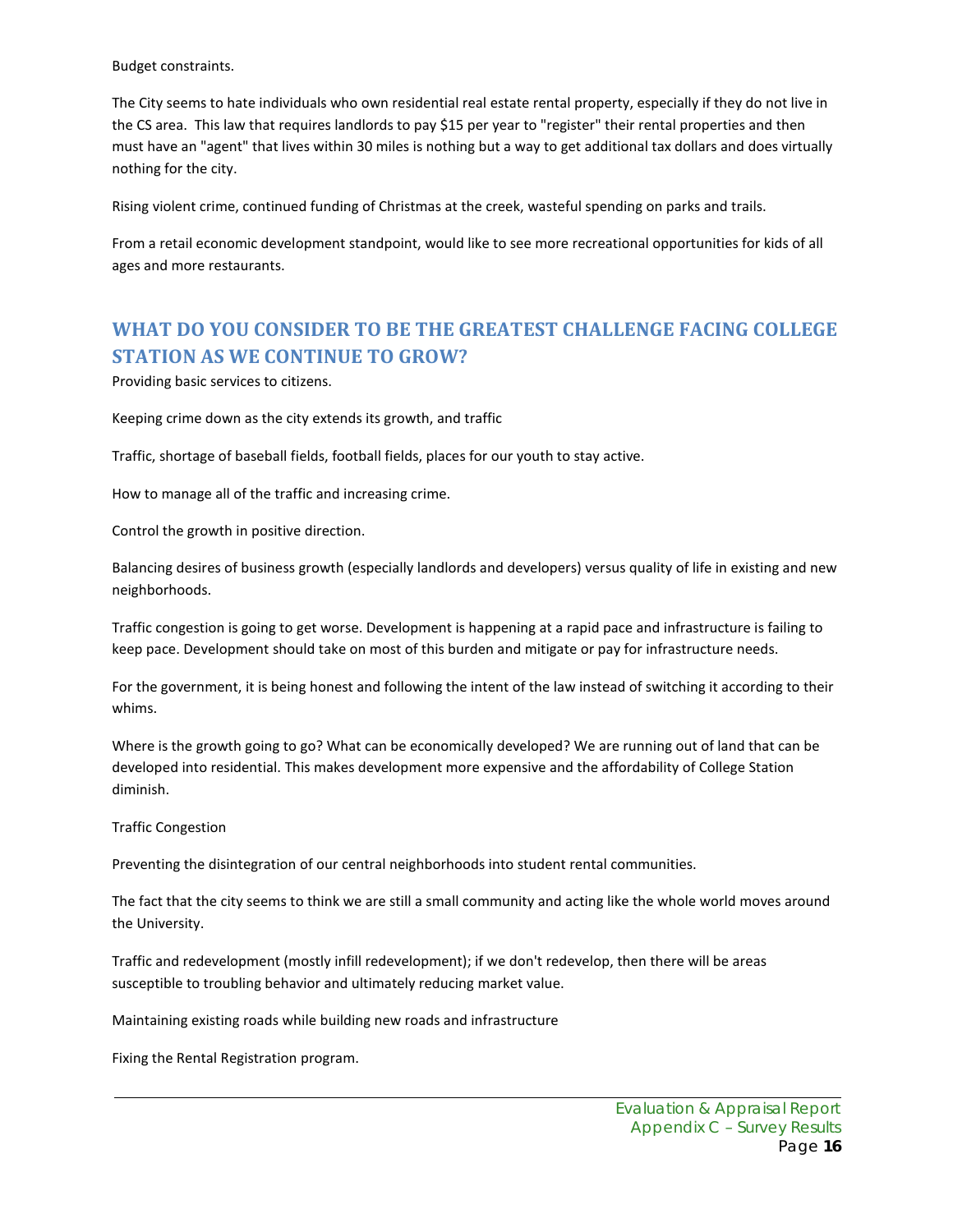Budget constraints.

The City seems to hate individuals who own residential real estate rental property, especially if they do not live in the CS area. This law that requires landlords to pay \$15 per year to "register" their rental properties and then must have an "agent" that lives within 30 miles is nothing but a way to get additional tax dollars and does virtually nothing for the city.

Rising violent crime, continued funding of Christmas at the creek, wasteful spending on parks and trails.

From a retail economic development standpoint, would like to see more recreational opportunities for kids of all ages and more restaurants.

## **WHAT DO YOU CONSIDER TO BE THE GREATEST CHALLENGE FACING COLLEGE STATION AS WE CONTINUE TO GROW?**

Providing basic services to citizens.

Keeping crime down as the city extends its growth, and traffic

Traffic, shortage of baseball fields, football fields, places for our youth to stay active.

How to manage all of the traffic and increasing crime.

Control the growth in positive direction.

Balancing desires of business growth (especially landlords and developers) versus quality of life in existing and new neighborhoods.

Traffic congestion is going to get worse. Development is happening at a rapid pace and infrastructure is failing to keep pace. Development should take on most of this burden and mitigate or pay for infrastructure needs.

For the government, it is being honest and following the intent of the law instead of switching it according to their whims.

Where is the growth going to go? What can be economically developed? We are running out of land that can be developed into residential. This makes development more expensive and the affordability of College Station diminish.

Traffic Congestion

Preventing the disintegration of our central neighborhoods into student rental communities.

The fact that the city seems to think we are still a small community and acting like the whole world moves around the University.

Traffic and redevelopment (mostly infill redevelopment); if we don't redevelop, then there will be areas susceptible to troubling behavior and ultimately reducing market value.

Maintaining existing roads while building new roads and infrastructure

Fixing the Rental Registration program.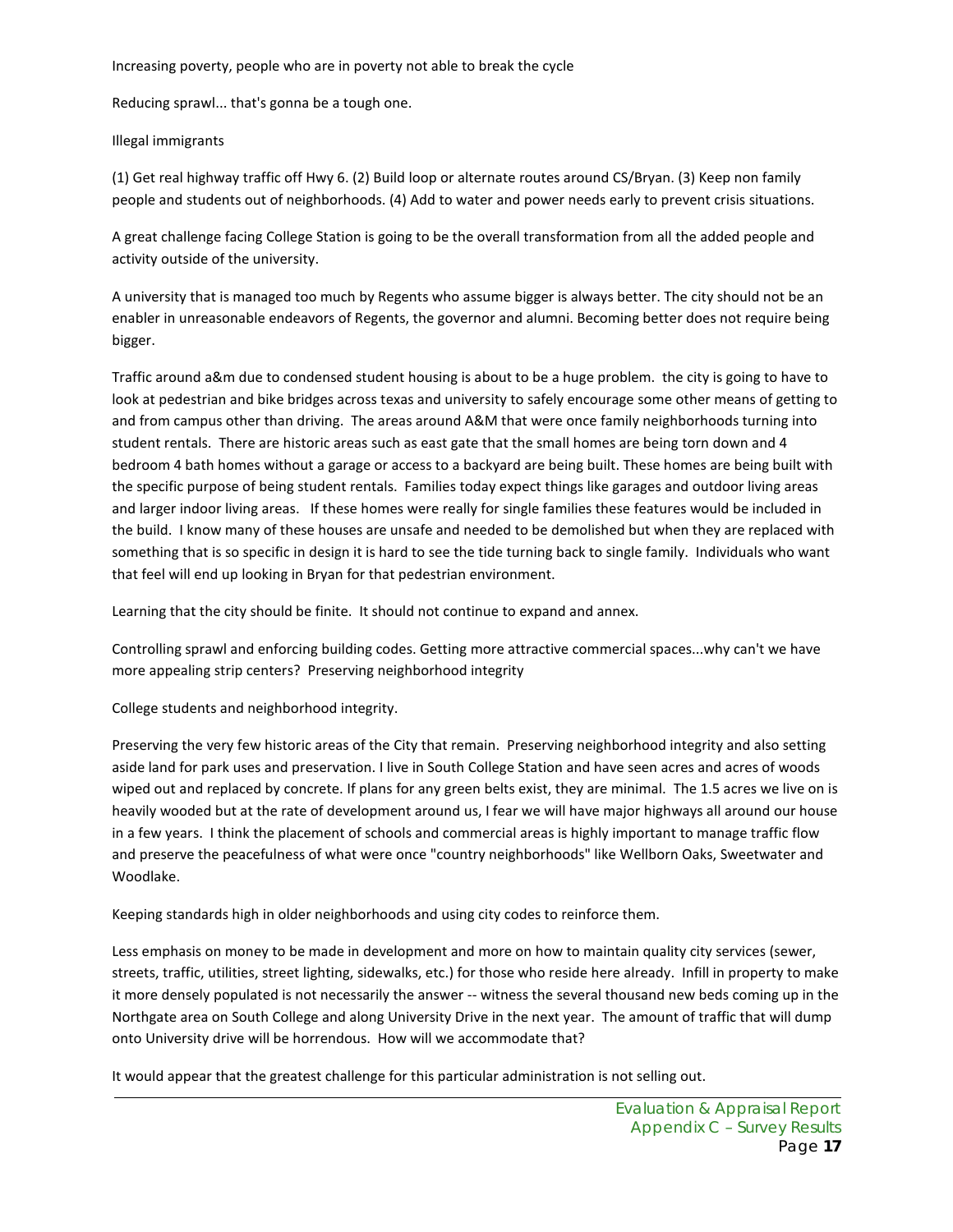Increasing poverty, people who are in poverty not able to break the cycle

Reducing sprawl... that's gonna be a tough one.

#### Illegal immigrants

(1) Get real highway traffic off Hwy 6. (2) Build loop or alternate routes around CS/Bryan. (3) Keep non family people and students out of neighborhoods. (4) Add to water and power needs early to prevent crisis situations.

A great challenge facing College Station is going to be the overall transformation from all the added people and activity outside of the university.

A university that is managed too much by Regents who assume bigger is always better. The city should not be an enabler in unreasonable endeavors of Regents, the governor and alumni. Becoming better does not require being bigger.

Traffic around a&m due to condensed student housing is about to be a huge problem. the city is going to have to look at pedestrian and bike bridges across texas and university to safely encourage some other means of getting to and from campus other than driving. The areas around A&M that were once family neighborhoods turning into student rentals. There are historic areas such as east gate that the small homes are being torn down and 4 bedroom 4 bath homes without a garage or access to a backyard are being built. These homes are being built with the specific purpose of being student rentals. Families today expect things like garages and outdoor living areas and larger indoor living areas. If these homes were really for single families these features would be included in the build. I know many of these houses are unsafe and needed to be demolished but when they are replaced with something that is so specific in design it is hard to see the tide turning back to single family. Individuals who want that feel will end up looking in Bryan for that pedestrian environment.

Learning that the city should be finite. It should not continue to expand and annex.

Controlling sprawl and enforcing building codes. Getting more attractive commercial spaces...why can't we have more appealing strip centers? Preserving neighborhood integrity

College students and neighborhood integrity.

Preserving the very few historic areas of the City that remain. Preserving neighborhood integrity and also setting aside land for park uses and preservation. I live in South College Station and have seen acres and acres of woods wiped out and replaced by concrete. If plans for any green belts exist, they are minimal. The 1.5 acres we live on is heavily wooded but at the rate of development around us, I fear we will have major highways all around our house in a few years. I think the placement of schools and commercial areas is highly important to manage traffic flow and preserve the peacefulness of what were once "country neighborhoods" like Wellborn Oaks, Sweetwater and Woodlake.

Keeping standards high in older neighborhoods and using city codes to reinforce them.

Less emphasis on money to be made in development and more on how to maintain quality city services (sewer, streets, traffic, utilities, street lighting, sidewalks, etc.) for those who reside here already. Infill in property to make it more densely populated is not necessarily the answer -- witness the several thousand new beds coming up in the Northgate area on South College and along University Drive in the next year. The amount of traffic that will dump onto University drive will be horrendous. How will we accommodate that?

It would appear that the greatest challenge for this particular administration is not selling out.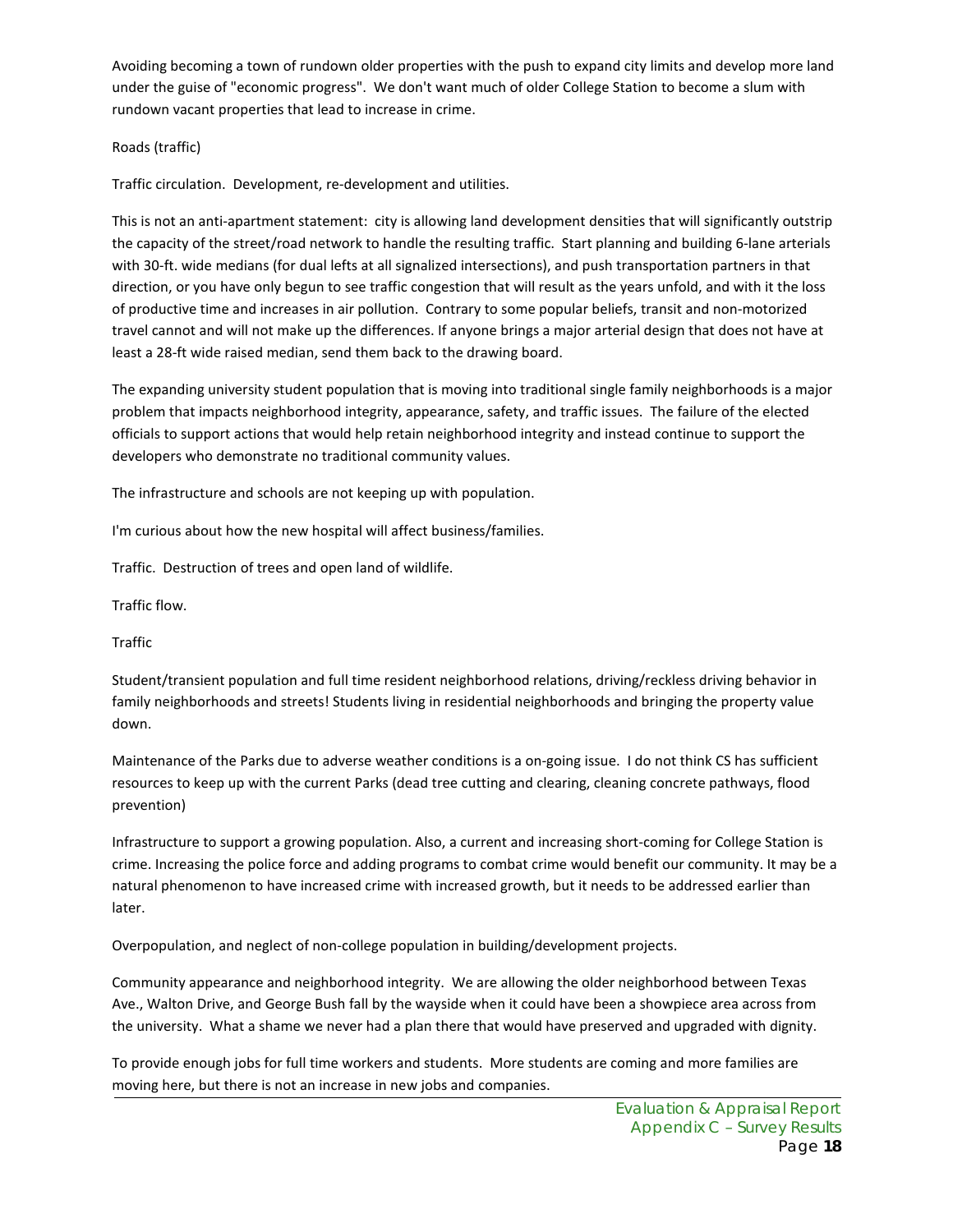Avoiding becoming a town of rundown older properties with the push to expand city limits and develop more land under the guise of "economic progress". We don't want much of older College Station to become a slum with rundown vacant properties that lead to increase in crime.

#### Roads (traffic)

Traffic circulation. Development, re-development and utilities.

This is not an anti-apartment statement: city is allowing land development densities that will significantly outstrip the capacity of the street/road network to handle the resulting traffic. Start planning and building 6-lane arterials with 30-ft. wide medians (for dual lefts at all signalized intersections), and push transportation partners in that direction, or you have only begun to see traffic congestion that will result as the years unfold, and with it the loss of productive time and increases in air pollution. Contrary to some popular beliefs, transit and non-motorized travel cannot and will not make up the differences. If anyone brings a major arterial design that does not have at least a 28-ft wide raised median, send them back to the drawing board.

The expanding university student population that is moving into traditional single family neighborhoods is a major problem that impacts neighborhood integrity, appearance, safety, and traffic issues. The failure of the elected officials to support actions that would help retain neighborhood integrity and instead continue to support the developers who demonstrate no traditional community values.

The infrastructure and schools are not keeping up with population.

I'm curious about how the new hospital will affect business/families.

Traffic. Destruction of trees and open land of wildlife.

Traffic flow.

Traffic

Student/transient population and full time resident neighborhood relations, driving/reckless driving behavior in family neighborhoods and streets! Students living in residential neighborhoods and bringing the property value down.

Maintenance of the Parks due to adverse weather conditions is a on-going issue. I do not think CS has sufficient resources to keep up with the current Parks (dead tree cutting and clearing, cleaning concrete pathways, flood prevention)

Infrastructure to support a growing population. Also, a current and increasing short-coming for College Station is crime. Increasing the police force and adding programs to combat crime would benefit our community. It may be a natural phenomenon to have increased crime with increased growth, but it needs to be addressed earlier than later.

Overpopulation, and neglect of non-college population in building/development projects.

Community appearance and neighborhood integrity. We are allowing the older neighborhood between Texas Ave., Walton Drive, and George Bush fall by the wayside when it could have been a showpiece area across from the university. What a shame we never had a plan there that would have preserved and upgraded with dignity.

To provide enough jobs for full time workers and students. More students are coming and more families are moving here, but there is not an increase in new jobs and companies.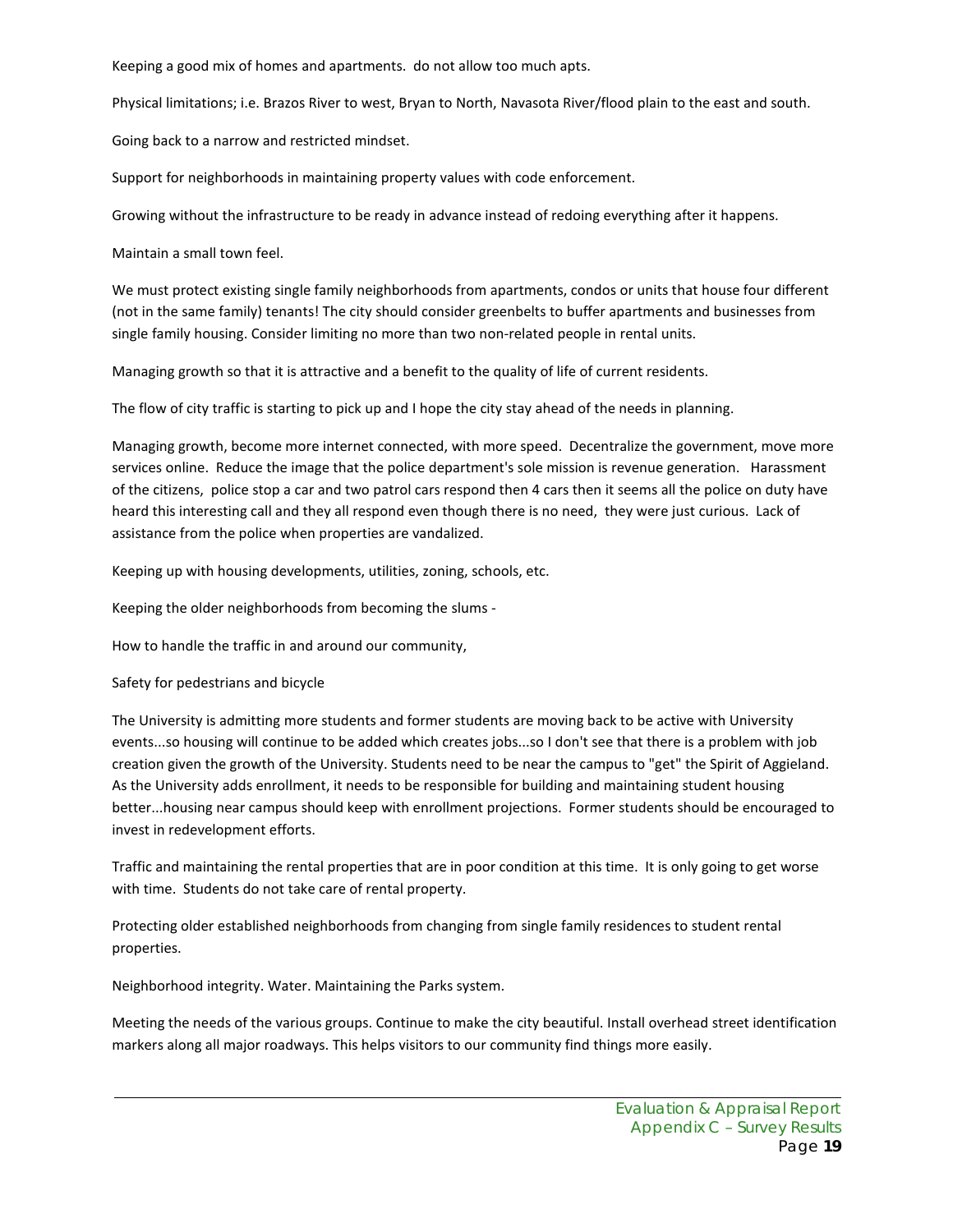Keeping a good mix of homes and apartments. do not allow too much apts.

Physical limitations; i.e. Brazos River to west, Bryan to North, Navasota River/flood plain to the east and south.

Going back to a narrow and restricted mindset.

Support for neighborhoods in maintaining property values with code enforcement.

Growing without the infrastructure to be ready in advance instead of redoing everything after it happens.

Maintain a small town feel.

We must protect existing single family neighborhoods from apartments, condos or units that house four different (not in the same family) tenants! The city should consider greenbelts to buffer apartments and businesses from single family housing. Consider limiting no more than two non-related people in rental units.

Managing growth so that it is attractive and a benefit to the quality of life of current residents.

The flow of city traffic is starting to pick up and I hope the city stay ahead of the needs in planning.

Managing growth, become more internet connected, with more speed. Decentralize the government, move more services online. Reduce the image that the police department's sole mission is revenue generation. Harassment of the citizens, police stop a car and two patrol cars respond then 4 cars then it seems all the police on duty have heard this interesting call and they all respond even though there is no need, they were just curious. Lack of assistance from the police when properties are vandalized.

Keeping up with housing developments, utilities, zoning, schools, etc.

Keeping the older neighborhoods from becoming the slums -

How to handle the traffic in and around our community,

Safety for pedestrians and bicycle

The University is admitting more students and former students are moving back to be active with University events...so housing will continue to be added which creates jobs...so I don't see that there is a problem with job creation given the growth of the University. Students need to be near the campus to "get" the Spirit of Aggieland. As the University adds enrollment, it needs to be responsible for building and maintaining student housing better...housing near campus should keep with enrollment projections. Former students should be encouraged to invest in redevelopment efforts.

Traffic and maintaining the rental properties that are in poor condition at this time. It is only going to get worse with time. Students do not take care of rental property.

Protecting older established neighborhoods from changing from single family residences to student rental properties.

Neighborhood integrity. Water. Maintaining the Parks system.

Meeting the needs of the various groups. Continue to make the city beautiful. Install overhead street identification markers along all major roadways. This helps visitors to our community find things more easily.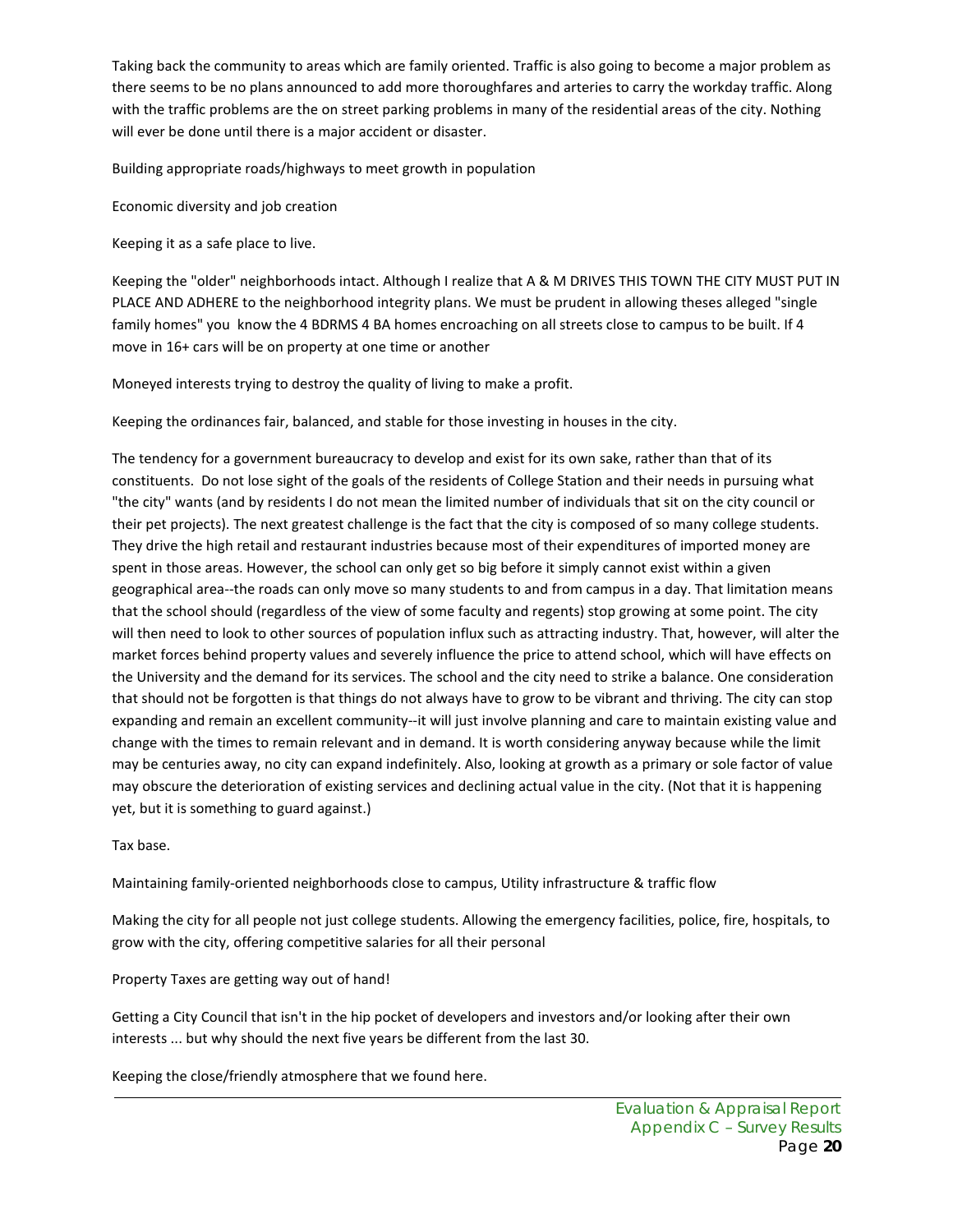Taking back the community to areas which are family oriented. Traffic is also going to become a major problem as there seems to be no plans announced to add more thoroughfares and arteries to carry the workday traffic. Along with the traffic problems are the on street parking problems in many of the residential areas of the city. Nothing will ever be done until there is a major accident or disaster.

Building appropriate roads/highways to meet growth in population

Economic diversity and job creation

Keeping it as a safe place to live.

Keeping the "older" neighborhoods intact. Although I realize that A & M DRIVES THIS TOWN THE CITY MUST PUT IN PLACE AND ADHERE to the neighborhood integrity plans. We must be prudent in allowing theses alleged "single family homes" you know the 4 BDRMS 4 BA homes encroaching on all streets close to campus to be built. If 4 move in 16+ cars will be on property at one time or another

Moneyed interests trying to destroy the quality of living to make a profit.

Keeping the ordinances fair, balanced, and stable for those investing in houses in the city.

The tendency for a government bureaucracy to develop and exist for its own sake, rather than that of its constituents. Do not lose sight of the goals of the residents of College Station and their needs in pursuing what "the city" wants (and by residents I do not mean the limited number of individuals that sit on the city council or their pet projects). The next greatest challenge is the fact that the city is composed of so many college students. They drive the high retail and restaurant industries because most of their expenditures of imported money are spent in those areas. However, the school can only get so big before it simply cannot exist within a given geographical area--the roads can only move so many students to and from campus in a day. That limitation means that the school should (regardless of the view of some faculty and regents) stop growing at some point. The city will then need to look to other sources of population influx such as attracting industry. That, however, will alter the market forces behind property values and severely influence the price to attend school, which will have effects on the University and the demand for its services. The school and the city need to strike a balance. One consideration that should not be forgotten is that things do not always have to grow to be vibrant and thriving. The city can stop expanding and remain an excellent community--it will just involve planning and care to maintain existing value and change with the times to remain relevant and in demand. It is worth considering anyway because while the limit may be centuries away, no city can expand indefinitely. Also, looking at growth as a primary or sole factor of value may obscure the deterioration of existing services and declining actual value in the city. (Not that it is happening yet, but it is something to guard against.)

Tax base.

Maintaining family-oriented neighborhoods close to campus, Utility infrastructure & traffic flow

Making the city for all people not just college students. Allowing the emergency facilities, police, fire, hospitals, to grow with the city, offering competitive salaries for all their personal

Property Taxes are getting way out of hand!

Getting a City Council that isn't in the hip pocket of developers and investors and/or looking after their own interests ... but why should the next five years be different from the last 30.

Keeping the close/friendly atmosphere that we found here.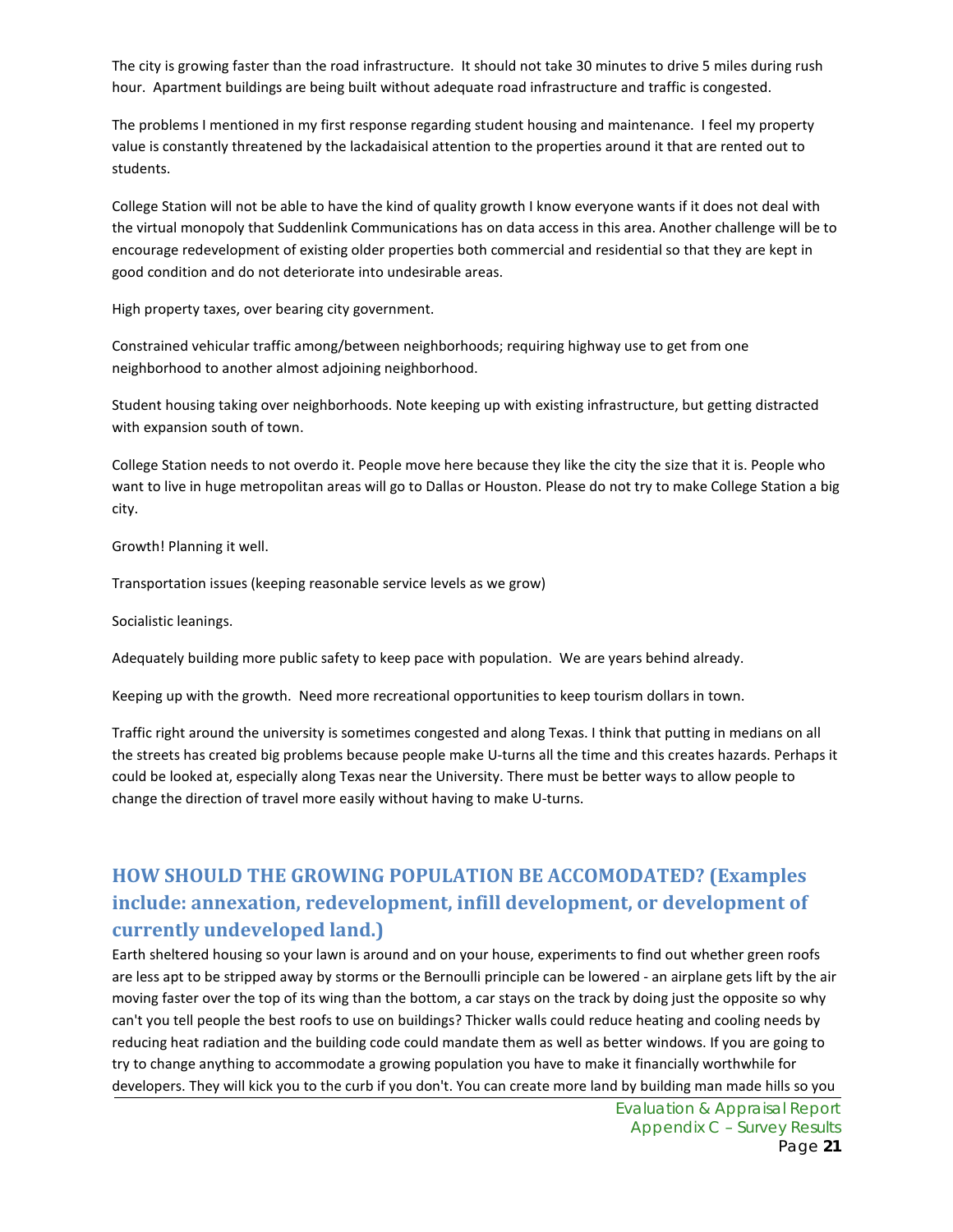The city is growing faster than the road infrastructure. It should not take 30 minutes to drive 5 miles during rush hour. Apartment buildings are being built without adequate road infrastructure and traffic is congested.

The problems I mentioned in my first response regarding student housing and maintenance. I feel my property value is constantly threatened by the lackadaisical attention to the properties around it that are rented out to students.

College Station will not be able to have the kind of quality growth I know everyone wants if it does not deal with the virtual monopoly that Suddenlink Communications has on data access in this area. Another challenge will be to encourage redevelopment of existing older properties both commercial and residential so that they are kept in good condition and do not deteriorate into undesirable areas.

High property taxes, over bearing city government.

Constrained vehicular traffic among/between neighborhoods; requiring highway use to get from one neighborhood to another almost adjoining neighborhood.

Student housing taking over neighborhoods. Note keeping up with existing infrastructure, but getting distracted with expansion south of town.

College Station needs to not overdo it. People move here because they like the city the size that it is. People who want to live in huge metropolitan areas will go to Dallas or Houston. Please do not try to make College Station a big city.

Growth! Planning it well.

Transportation issues (keeping reasonable service levels as we grow)

Socialistic leanings.

Adequately building more public safety to keep pace with population. We are years behind already.

Keeping up with the growth. Need more recreational opportunities to keep tourism dollars in town.

Traffic right around the university is sometimes congested and along Texas. I think that putting in medians on all the streets has created big problems because people make U-turns all the time and this creates hazards. Perhaps it could be looked at, especially along Texas near the University. There must be better ways to allow people to change the direction of travel more easily without having to make U-turns.

# **HOW SHOULD THE GROWING POPULATION BE ACCOMODATED? (Examples include: annexation, redevelopment, infill development, or development of currently undeveloped land.)**

Earth sheltered housing so your lawn is around and on your house, experiments to find out whether green roofs are less apt to be stripped away by storms or the Bernoulli principle can be lowered - an airplane gets lift by the air moving faster over the top of its wing than the bottom, a car stays on the track by doing just the opposite so why can't you tell people the best roofs to use on buildings? Thicker walls could reduce heating and cooling needs by reducing heat radiation and the building code could mandate them as well as better windows. If you are going to try to change anything to accommodate a growing population you have to make it financially worthwhile for developers. They will kick you to the curb if you don't. You can create more land by building man made hills so you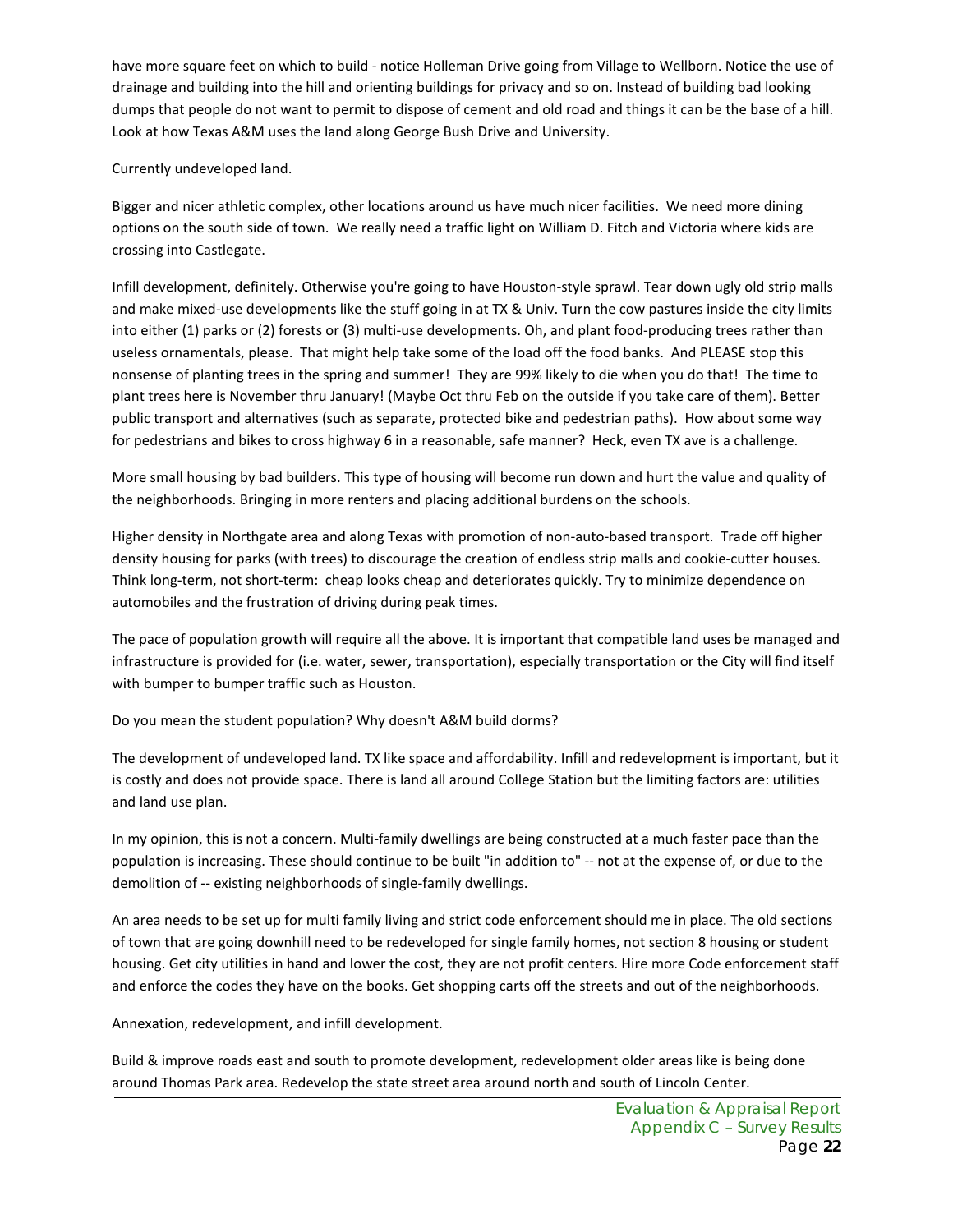have more square feet on which to build - notice Holleman Drive going from Village to Wellborn. Notice the use of drainage and building into the hill and orienting buildings for privacy and so on. Instead of building bad looking dumps that people do not want to permit to dispose of cement and old road and things it can be the base of a hill. Look at how Texas A&M uses the land along George Bush Drive and University.

Currently undeveloped land.

Bigger and nicer athletic complex, other locations around us have much nicer facilities. We need more dining options on the south side of town. We really need a traffic light on William D. Fitch and Victoria where kids are crossing into Castlegate.

Infill development, definitely. Otherwise you're going to have Houston-style sprawl. Tear down ugly old strip malls and make mixed-use developments like the stuff going in at TX & Univ. Turn the cow pastures inside the city limits into either (1) parks or (2) forests or (3) multi-use developments. Oh, and plant food-producing trees rather than useless ornamentals, please. That might help take some of the load off the food banks. And PLEASE stop this nonsense of planting trees in the spring and summer! They are 99% likely to die when you do that! The time to plant trees here is November thru January! (Maybe Oct thru Feb on the outside if you take care of them). Better public transport and alternatives (such as separate, protected bike and pedestrian paths). How about some way for pedestrians and bikes to cross highway 6 in a reasonable, safe manner? Heck, even TX ave is a challenge.

More small housing by bad builders. This type of housing will become run down and hurt the value and quality of the neighborhoods. Bringing in more renters and placing additional burdens on the schools.

Higher density in Northgate area and along Texas with promotion of non-auto-based transport. Trade off higher density housing for parks (with trees) to discourage the creation of endless strip malls and cookie-cutter houses. Think long-term, not short-term: cheap looks cheap and deteriorates quickly. Try to minimize dependence on automobiles and the frustration of driving during peak times.

The pace of population growth will require all the above. It is important that compatible land uses be managed and infrastructure is provided for (i.e. water, sewer, transportation), especially transportation or the City will find itself with bumper to bumper traffic such as Houston.

Do you mean the student population? Why doesn't A&M build dorms?

The development of undeveloped land. TX like space and affordability. Infill and redevelopment is important, but it is costly and does not provide space. There is land all around College Station but the limiting factors are: utilities and land use plan.

In my opinion, this is not a concern. Multi-family dwellings are being constructed at a much faster pace than the population is increasing. These should continue to be built "in addition to" -- not at the expense of, or due to the demolition of -- existing neighborhoods of single-family dwellings.

An area needs to be set up for multi family living and strict code enforcement should me in place. The old sections of town that are going downhill need to be redeveloped for single family homes, not section 8 housing or student housing. Get city utilities in hand and lower the cost, they are not profit centers. Hire more Code enforcement staff and enforce the codes they have on the books. Get shopping carts off the streets and out of the neighborhoods.

Annexation, redevelopment, and infill development.

Build & improve roads east and south to promote development, redevelopment older areas like is being done around Thomas Park area. Redevelop the state street area around north and south of Lincoln Center.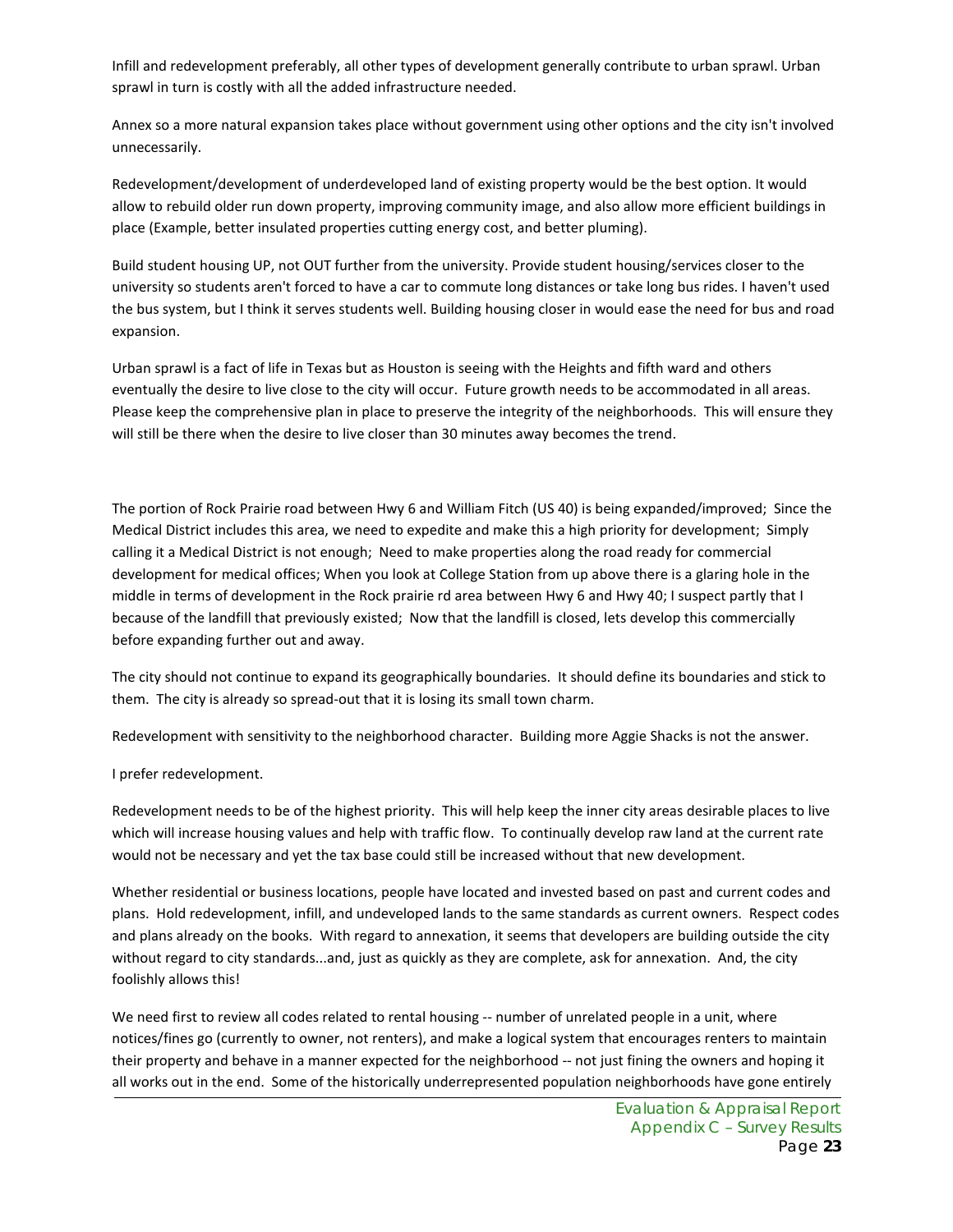Infill and redevelopment preferably, all other types of development generally contribute to urban sprawl. Urban sprawl in turn is costly with all the added infrastructure needed.

Annex so a more natural expansion takes place without government using other options and the city isn't involved unnecessarily.

Redevelopment/development of underdeveloped land of existing property would be the best option. It would allow to rebuild older run down property, improving community image, and also allow more efficient buildings in place (Example, better insulated properties cutting energy cost, and better pluming).

Build student housing UP, not OUT further from the university. Provide student housing/services closer to the university so students aren't forced to have a car to commute long distances or take long bus rides. I haven't used the bus system, but I think it serves students well. Building housing closer in would ease the need for bus and road expansion.

Urban sprawl is a fact of life in Texas but as Houston is seeing with the Heights and fifth ward and others eventually the desire to live close to the city will occur. Future growth needs to be accommodated in all areas. Please keep the comprehensive plan in place to preserve the integrity of the neighborhoods. This will ensure they will still be there when the desire to live closer than 30 minutes away becomes the trend.

The portion of Rock Prairie road between Hwy 6 and William Fitch (US 40) is being expanded/improved; Since the Medical District includes this area, we need to expedite and make this a high priority for development; Simply calling it a Medical District is not enough; Need to make properties along the road ready for commercial development for medical offices; When you look at College Station from up above there is a glaring hole in the middle in terms of development in the Rock prairie rd area between Hwy 6 and Hwy 40; I suspect partly that I because of the landfill that previously existed; Now that the landfill is closed, lets develop this commercially before expanding further out and away.

The city should not continue to expand its geographically boundaries. It should define its boundaries and stick to them. The city is already so spread-out that it is losing its small town charm.

Redevelopment with sensitivity to the neighborhood character. Building more Aggie Shacks is not the answer.

#### I prefer redevelopment.

Redevelopment needs to be of the highest priority. This will help keep the inner city areas desirable places to live which will increase housing values and help with traffic flow. To continually develop raw land at the current rate would not be necessary and yet the tax base could still be increased without that new development.

Whether residential or business locations, people have located and invested based on past and current codes and plans. Hold redevelopment, infill, and undeveloped lands to the same standards as current owners. Respect codes and plans already on the books. With regard to annexation, it seems that developers are building outside the city without regard to city standards...and, just as quickly as they are complete, ask for annexation. And, the city foolishly allows this!

We need first to review all codes related to rental housing -- number of unrelated people in a unit, where notices/fines go (currently to owner, not renters), and make a logical system that encourages renters to maintain their property and behave in a manner expected for the neighborhood -- not just fining the owners and hoping it all works out in the end. Some of the historically underrepresented population neighborhoods have gone entirely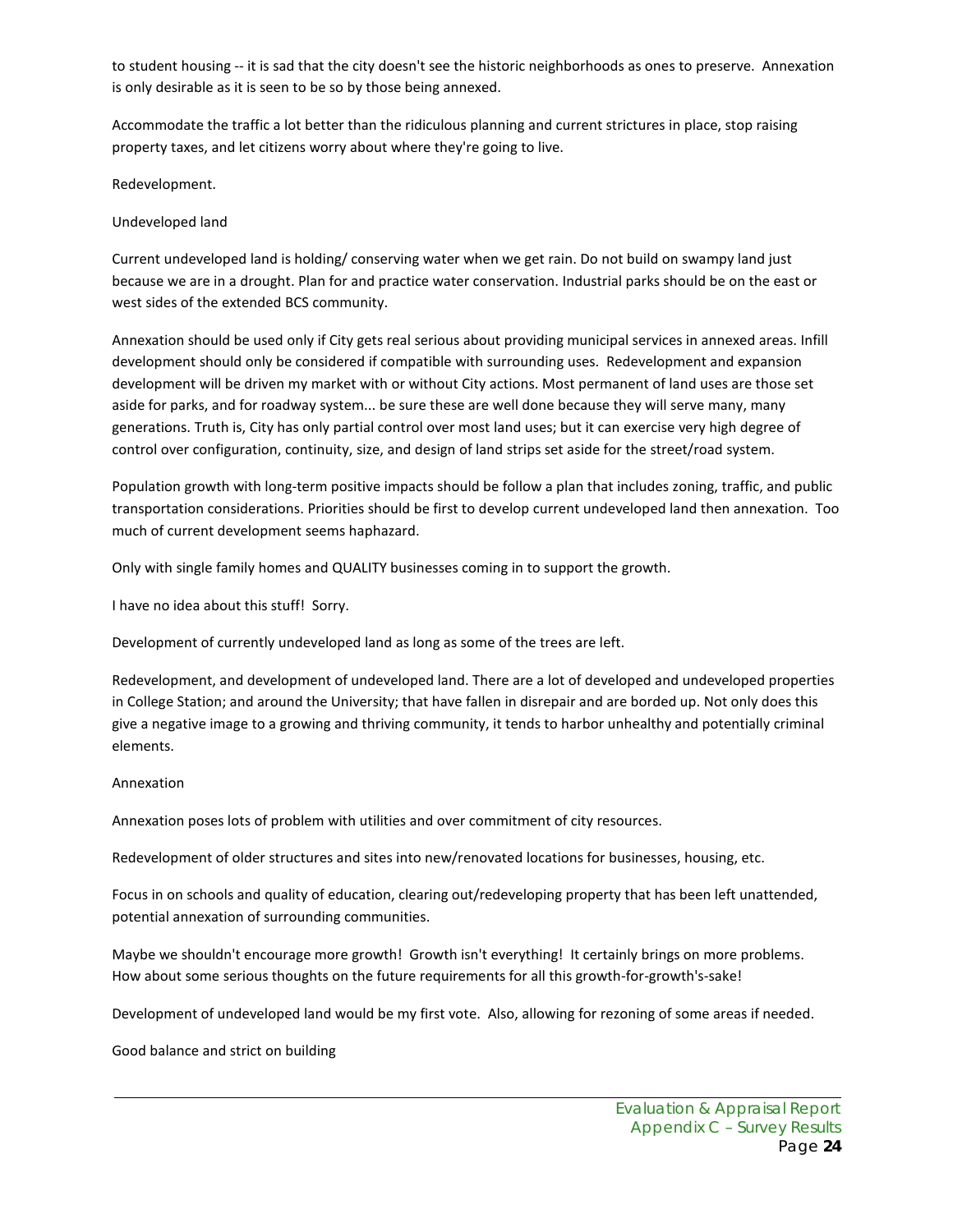to student housing -- it is sad that the city doesn't see the historic neighborhoods as ones to preserve. Annexation is only desirable as it is seen to be so by those being annexed.

Accommodate the traffic a lot better than the ridiculous planning and current strictures in place, stop raising property taxes, and let citizens worry about where they're going to live.

Redevelopment.

Undeveloped land

Current undeveloped land is holding/ conserving water when we get rain. Do not build on swampy land just because we are in a drought. Plan for and practice water conservation. Industrial parks should be on the east or west sides of the extended BCS community.

Annexation should be used only if City gets real serious about providing municipal services in annexed areas. Infill development should only be considered if compatible with surrounding uses. Redevelopment and expansion development will be driven my market with or without City actions. Most permanent of land uses are those set aside for parks, and for roadway system... be sure these are well done because they will serve many, many generations. Truth is, City has only partial control over most land uses; but it can exercise very high degree of control over configuration, continuity, size, and design of land strips set aside for the street/road system.

Population growth with long-term positive impacts should be follow a plan that includes zoning, traffic, and public transportation considerations. Priorities should be first to develop current undeveloped land then annexation. Too much of current development seems haphazard.

Only with single family homes and QUALITY businesses coming in to support the growth.

I have no idea about this stuff! Sorry.

Development of currently undeveloped land as long as some of the trees are left.

Redevelopment, and development of undeveloped land. There are a lot of developed and undeveloped properties in College Station; and around the University; that have fallen in disrepair and are borded up. Not only does this give a negative image to a growing and thriving community, it tends to harbor unhealthy and potentially criminal elements.

#### Annexation

Annexation poses lots of problem with utilities and over commitment of city resources.

Redevelopment of older structures and sites into new/renovated locations for businesses, housing, etc.

Focus in on schools and quality of education, clearing out/redeveloping property that has been left unattended, potential annexation of surrounding communities.

Maybe we shouldn't encourage more growth! Growth isn't everything! It certainly brings on more problems. How about some serious thoughts on the future requirements for all this growth-for-growth's-sake!

Development of undeveloped land would be my first vote. Also, allowing for rezoning of some areas if needed.

Good balance and strict on building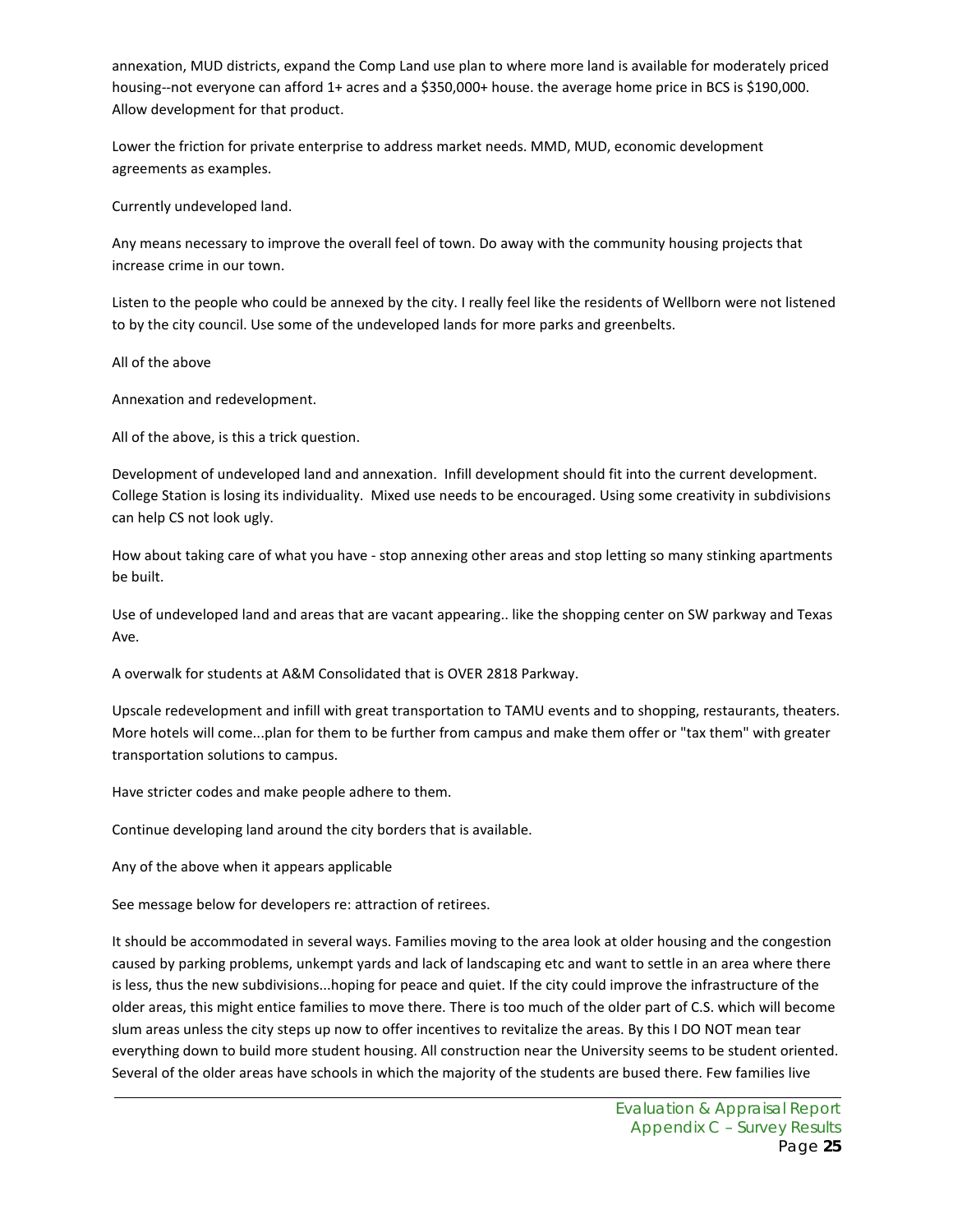annexation, MUD districts, expand the Comp Land use plan to where more land is available for moderately priced housing--not everyone can afford 1+ acres and a \$350,000+ house. the average home price in BCS is \$190,000. Allow development for that product.

Lower the friction for private enterprise to address market needs. MMD, MUD, economic development agreements as examples.

Currently undeveloped land.

Any means necessary to improve the overall feel of town. Do away with the community housing projects that increase crime in our town.

Listen to the people who could be annexed by the city. I really feel like the residents of Wellborn were not listened to by the city council. Use some of the undeveloped lands for more parks and greenbelts.

All of the above

Annexation and redevelopment.

All of the above, is this a trick question.

Development of undeveloped land and annexation. Infill development should fit into the current development. College Station is losing its individuality. Mixed use needs to be encouraged. Using some creativity in subdivisions can help CS not look ugly.

How about taking care of what you have - stop annexing other areas and stop letting so many stinking apartments be built.

Use of undeveloped land and areas that are vacant appearing.. like the shopping center on SW parkway and Texas Ave.

A overwalk for students at A&M Consolidated that is OVER 2818 Parkway.

Upscale redevelopment and infill with great transportation to TAMU events and to shopping, restaurants, theaters. More hotels will come...plan for them to be further from campus and make them offer or "tax them" with greater transportation solutions to campus.

Have stricter codes and make people adhere to them.

Continue developing land around the city borders that is available.

Any of the above when it appears applicable

See message below for developers re: attraction of retirees.

It should be accommodated in several ways. Families moving to the area look at older housing and the congestion caused by parking problems, unkempt yards and lack of landscaping etc and want to settle in an area where there is less, thus the new subdivisions...hoping for peace and quiet. If the city could improve the infrastructure of the older areas, this might entice families to move there. There is too much of the older part of C.S. which will become slum areas unless the city steps up now to offer incentives to revitalize the areas. By this I DO NOT mean tear everything down to build more student housing. All construction near the University seems to be student oriented. Several of the older areas have schools in which the majority of the students are bused there. Few families live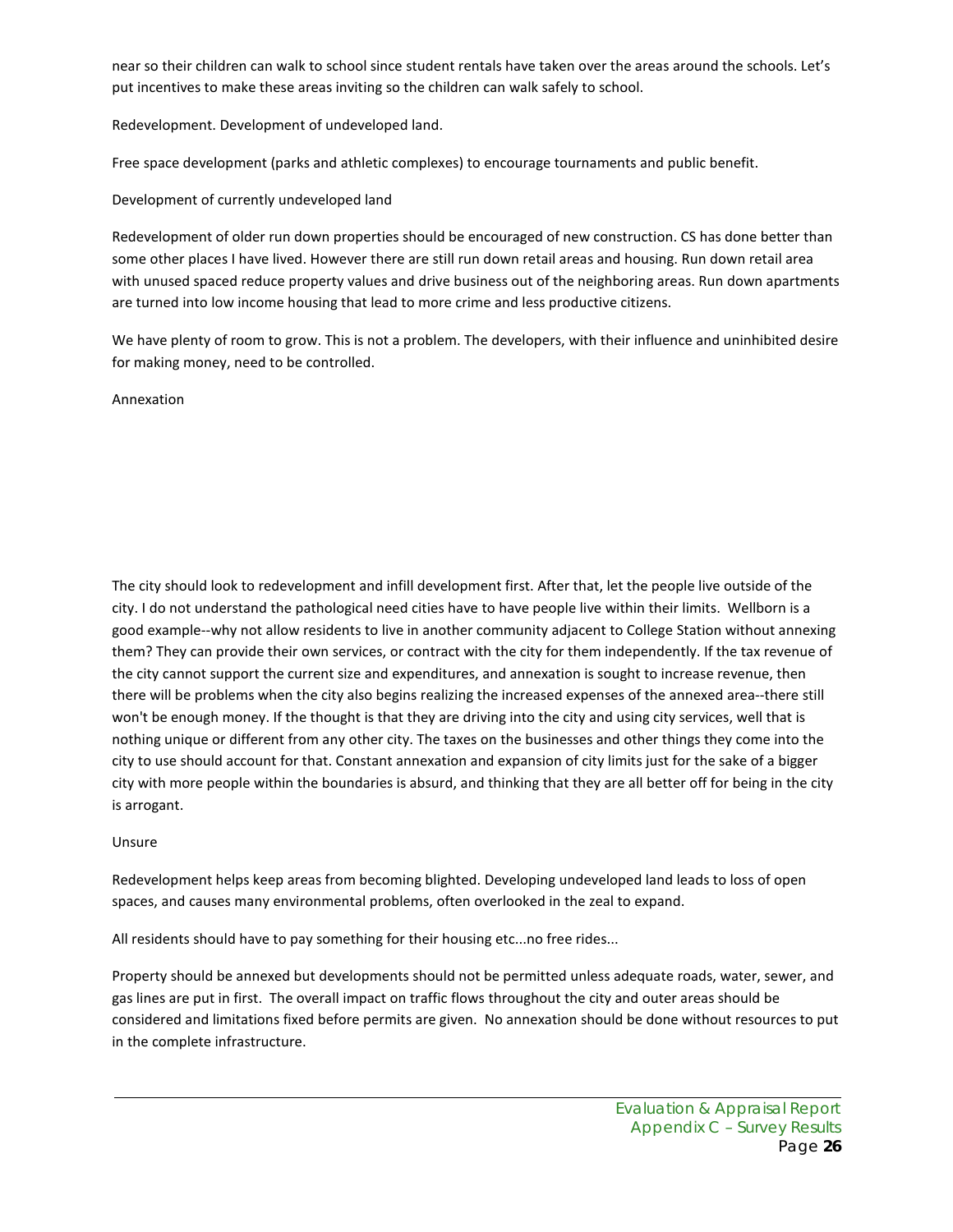near so their children can walk to school since student rentals have taken over the areas around the schools. Let's put incentives to make these areas inviting so the children can walk safely to school.

Redevelopment. Development of undeveloped land.

Free space development (parks and athletic complexes) to encourage tournaments and public benefit.

#### Development of currently undeveloped land

Redevelopment of older run down properties should be encouraged of new construction. CS has done better than some other places I have lived. However there are still run down retail areas and housing. Run down retail area with unused spaced reduce property values and drive business out of the neighboring areas. Run down apartments are turned into low income housing that lead to more crime and less productive citizens.

We have plenty of room to grow. This is not a problem. The developers, with their influence and uninhibited desire for making money, need to be controlled.

Annexation

The city should look to redevelopment and infill development first. After that, let the people live outside of the city. I do not understand the pathological need cities have to have people live within their limits. Wellborn is a good example--why not allow residents to live in another community adjacent to College Station without annexing them? They can provide their own services, or contract with the city for them independently. If the tax revenue of the city cannot support the current size and expenditures, and annexation is sought to increase revenue, then there will be problems when the city also begins realizing the increased expenses of the annexed area--there still won't be enough money. If the thought is that they are driving into the city and using city services, well that is nothing unique or different from any other city. The taxes on the businesses and other things they come into the city to use should account for that. Constant annexation and expansion of city limits just for the sake of a bigger city with more people within the boundaries is absurd, and thinking that they are all better off for being in the city is arrogant.

#### Unsure

Redevelopment helps keep areas from becoming blighted. Developing undeveloped land leads to loss of open spaces, and causes many environmental problems, often overlooked in the zeal to expand.

All residents should have to pay something for their housing etc...no free rides...

Property should be annexed but developments should not be permitted unless adequate roads, water, sewer, and gas lines are put in first. The overall impact on traffic flows throughout the city and outer areas should be considered and limitations fixed before permits are given. No annexation should be done without resources to put in the complete infrastructure.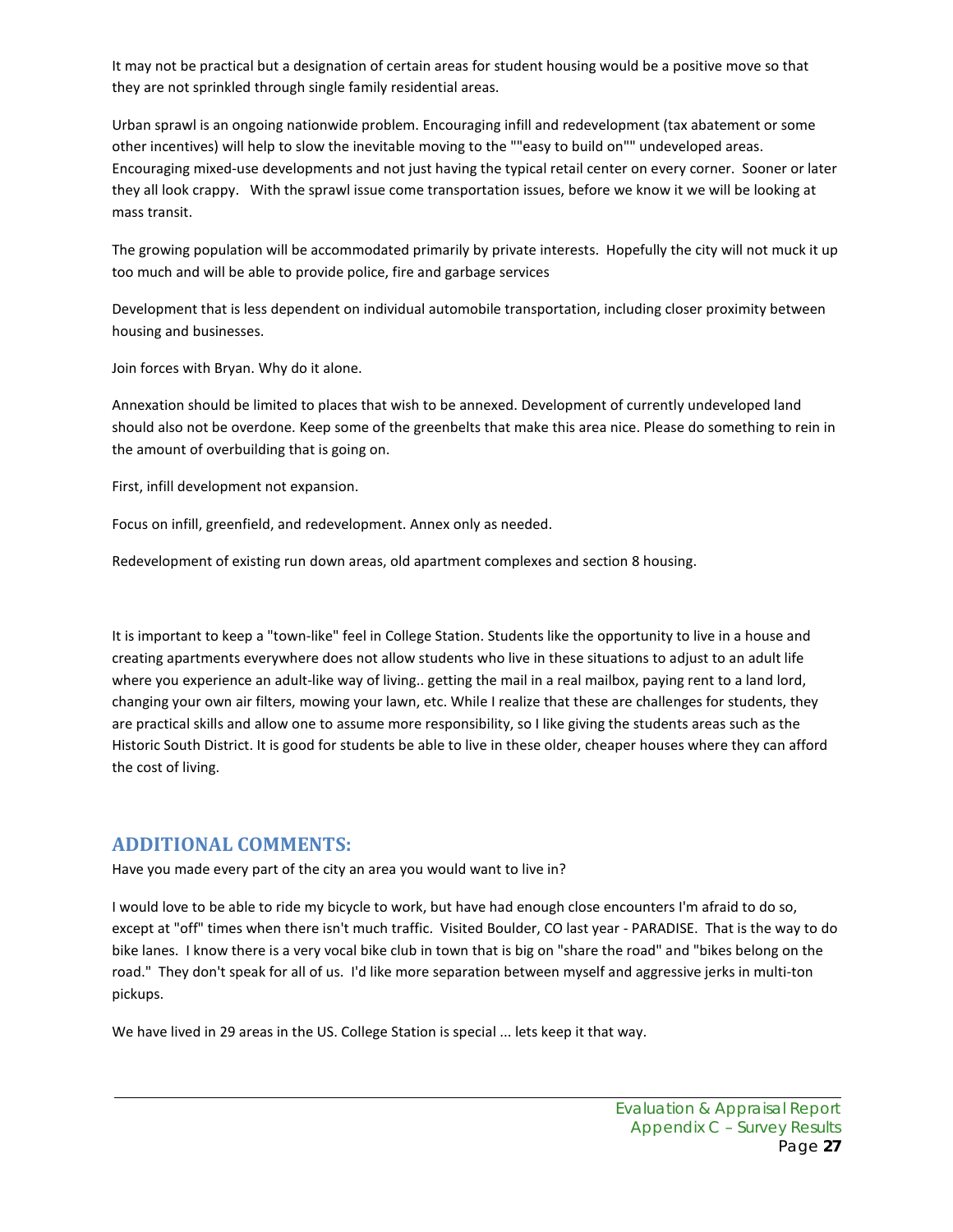It may not be practical but a designation of certain areas for student housing would be a positive move so that they are not sprinkled through single family residential areas.

Urban sprawl is an ongoing nationwide problem. Encouraging infill and redevelopment (tax abatement or some other incentives) will help to slow the inevitable moving to the ""easy to build on"" undeveloped areas. Encouraging mixed-use developments and not just having the typical retail center on every corner. Sooner or later they all look crappy. With the sprawl issue come transportation issues, before we know it we will be looking at mass transit.

The growing population will be accommodated primarily by private interests. Hopefully the city will not muck it up too much and will be able to provide police, fire and garbage services

Development that is less dependent on individual automobile transportation, including closer proximity between housing and businesses.

Join forces with Bryan. Why do it alone.

Annexation should be limited to places that wish to be annexed. Development of currently undeveloped land should also not be overdone. Keep some of the greenbelts that make this area nice. Please do something to rein in the amount of overbuilding that is going on.

First, infill development not expansion.

Focus on infill, greenfield, and redevelopment. Annex only as needed.

Redevelopment of existing run down areas, old apartment complexes and section 8 housing.

It is important to keep a "town-like" feel in College Station. Students like the opportunity to live in a house and creating apartments everywhere does not allow students who live in these situations to adjust to an adult life where you experience an adult-like way of living.. getting the mail in a real mailbox, paying rent to a land lord, changing your own air filters, mowing your lawn, etc. While I realize that these are challenges for students, they are practical skills and allow one to assume more responsibility, so I like giving the students areas such as the Historic South District. It is good for students be able to live in these older, cheaper houses where they can afford the cost of living.

#### **ADDITIONAL COMMENTS:**

Have you made every part of the city an area you would want to live in?

I would love to be able to ride my bicycle to work, but have had enough close encounters I'm afraid to do so, except at "off" times when there isn't much traffic. Visited Boulder, CO last year - PARADISE. That is the way to do bike lanes. I know there is a very vocal bike club in town that is big on "share the road" and "bikes belong on the road." They don't speak for all of us. I'd like more separation between myself and aggressive jerks in multi-ton pickups.

We have lived in 29 areas in the US. College Station is special ... lets keep it that way.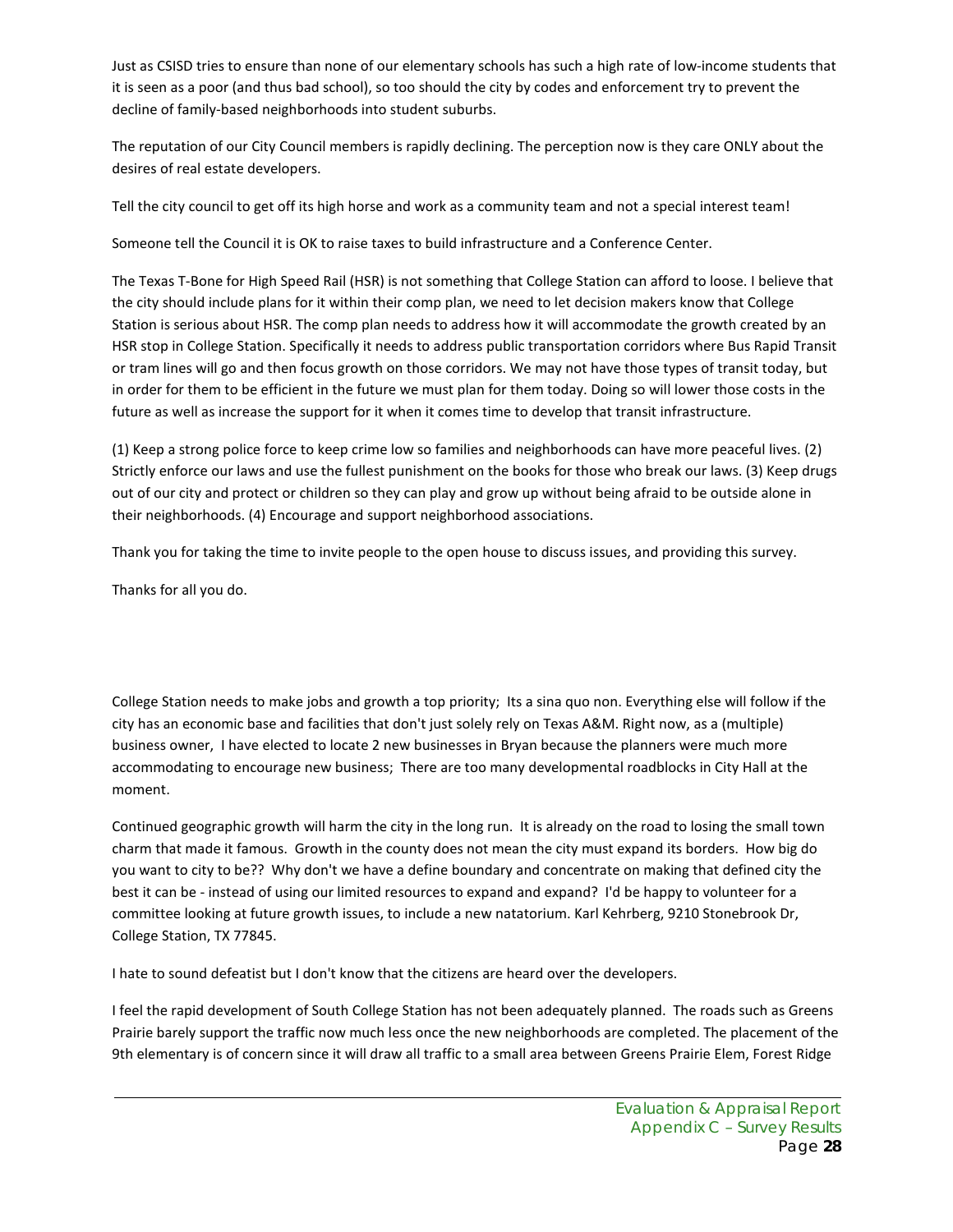Just as CSISD tries to ensure than none of our elementary schools has such a high rate of low-income students that it is seen as a poor (and thus bad school), so too should the city by codes and enforcement try to prevent the decline of family-based neighborhoods into student suburbs.

The reputation of our City Council members is rapidly declining. The perception now is they care ONLY about the desires of real estate developers.

Tell the city council to get off its high horse and work as a community team and not a special interest team!

Someone tell the Council it is OK to raise taxes to build infrastructure and a Conference Center.

The Texas T-Bone for High Speed Rail (HSR) is not something that College Station can afford to loose. I believe that the city should include plans for it within their comp plan, we need to let decision makers know that College Station is serious about HSR. The comp plan needs to address how it will accommodate the growth created by an HSR stop in College Station. Specifically it needs to address public transportation corridors where Bus Rapid Transit or tram lines will go and then focus growth on those corridors. We may not have those types of transit today, but in order for them to be efficient in the future we must plan for them today. Doing so will lower those costs in the future as well as increase the support for it when it comes time to develop that transit infrastructure.

(1) Keep a strong police force to keep crime low so families and neighborhoods can have more peaceful lives. (2) Strictly enforce our laws and use the fullest punishment on the books for those who break our laws. (3) Keep drugs out of our city and protect or children so they can play and grow up without being afraid to be outside alone in their neighborhoods. (4) Encourage and support neighborhood associations.

Thank you for taking the time to invite people to the open house to discuss issues, and providing this survey.

Thanks for all you do.

College Station needs to make jobs and growth a top priority; Its a sina quo non. Everything else will follow if the city has an economic base and facilities that don't just solely rely on Texas A&M. Right now, as a (multiple) business owner, I have elected to locate 2 new businesses in Bryan because the planners were much more accommodating to encourage new business; There are too many developmental roadblocks in City Hall at the moment.

Continued geographic growth will harm the city in the long run. It is already on the road to losing the small town charm that made it famous. Growth in the county does not mean the city must expand its borders. How big do you want to city to be?? Why don't we have a define boundary and concentrate on making that defined city the best it can be - instead of using our limited resources to expand and expand? I'd be happy to volunteer for a committee looking at future growth issues, to include a new natatorium. Karl Kehrberg, 9210 Stonebrook Dr, College Station, TX 77845.

I hate to sound defeatist but I don't know that the citizens are heard over the developers.

I feel the rapid development of South College Station has not been adequately planned. The roads such as Greens Prairie barely support the traffic now much less once the new neighborhoods are completed. The placement of the 9th elementary is of concern since it will draw all traffic to a small area between Greens Prairie Elem, Forest Ridge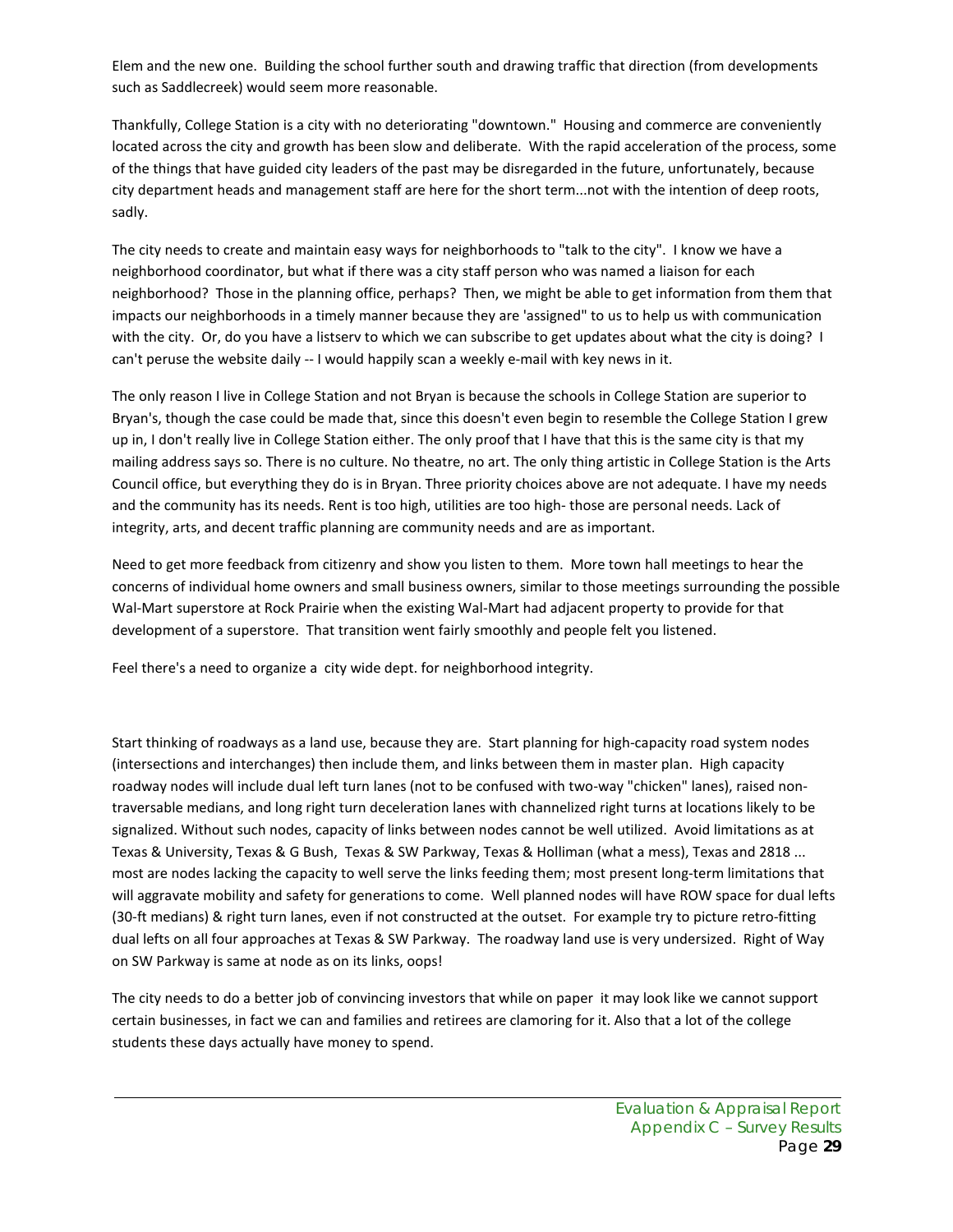Elem and the new one. Building the school further south and drawing traffic that direction (from developments such as Saddlecreek) would seem more reasonable.

Thankfully, College Station is a city with no deteriorating "downtown." Housing and commerce are conveniently located across the city and growth has been slow and deliberate. With the rapid acceleration of the process, some of the things that have guided city leaders of the past may be disregarded in the future, unfortunately, because city department heads and management staff are here for the short term...not with the intention of deep roots, sadly.

The city needs to create and maintain easy ways for neighborhoods to "talk to the city". I know we have a neighborhood coordinator, but what if there was a city staff person who was named a liaison for each neighborhood? Those in the planning office, perhaps? Then, we might be able to get information from them that impacts our neighborhoods in a timely manner because they are 'assigned" to us to help us with communication with the city. Or, do you have a listserv to which we can subscribe to get updates about what the city is doing? I can't peruse the website daily -- I would happily scan a weekly e-mail with key news in it.

The only reason I live in College Station and not Bryan is because the schools in College Station are superior to Bryan's, though the case could be made that, since this doesn't even begin to resemble the College Station I grew up in, I don't really live in College Station either. The only proof that I have that this is the same city is that my mailing address says so. There is no culture. No theatre, no art. The only thing artistic in College Station is the Arts Council office, but everything they do is in Bryan. Three priority choices above are not adequate. I have my needs and the community has its needs. Rent is too high, utilities are too high- those are personal needs. Lack of integrity, arts, and decent traffic planning are community needs and are as important.

Need to get more feedback from citizenry and show you listen to them. More town hall meetings to hear the concerns of individual home owners and small business owners, similar to those meetings surrounding the possible Wal-Mart superstore at Rock Prairie when the existing Wal-Mart had adjacent property to provide for that development of a superstore. That transition went fairly smoothly and people felt you listened.

Feel there's a need to organize a city wide dept. for neighborhood integrity.

Start thinking of roadways as a land use, because they are. Start planning for high-capacity road system nodes (intersections and interchanges) then include them, and links between them in master plan. High capacity roadway nodes will include dual left turn lanes (not to be confused with two-way "chicken" lanes), raised nontraversable medians, and long right turn deceleration lanes with channelized right turns at locations likely to be signalized. Without such nodes, capacity of links between nodes cannot be well utilized. Avoid limitations as at Texas & University, Texas & G Bush, Texas & SW Parkway, Texas & Holliman (what a mess), Texas and 2818 ... most are nodes lacking the capacity to well serve the links feeding them; most present long-term limitations that will aggravate mobility and safety for generations to come. Well planned nodes will have ROW space for dual lefts (30-ft medians) & right turn lanes, even if not constructed at the outset. For example try to picture retro-fitting dual lefts on all four approaches at Texas & SW Parkway. The roadway land use is very undersized. Right of Way on SW Parkway is same at node as on its links, oops!

The city needs to do a better job of convincing investors that while on paper it may look like we cannot support certain businesses, in fact we can and families and retirees are clamoring for it. Also that a lot of the college students these days actually have money to spend.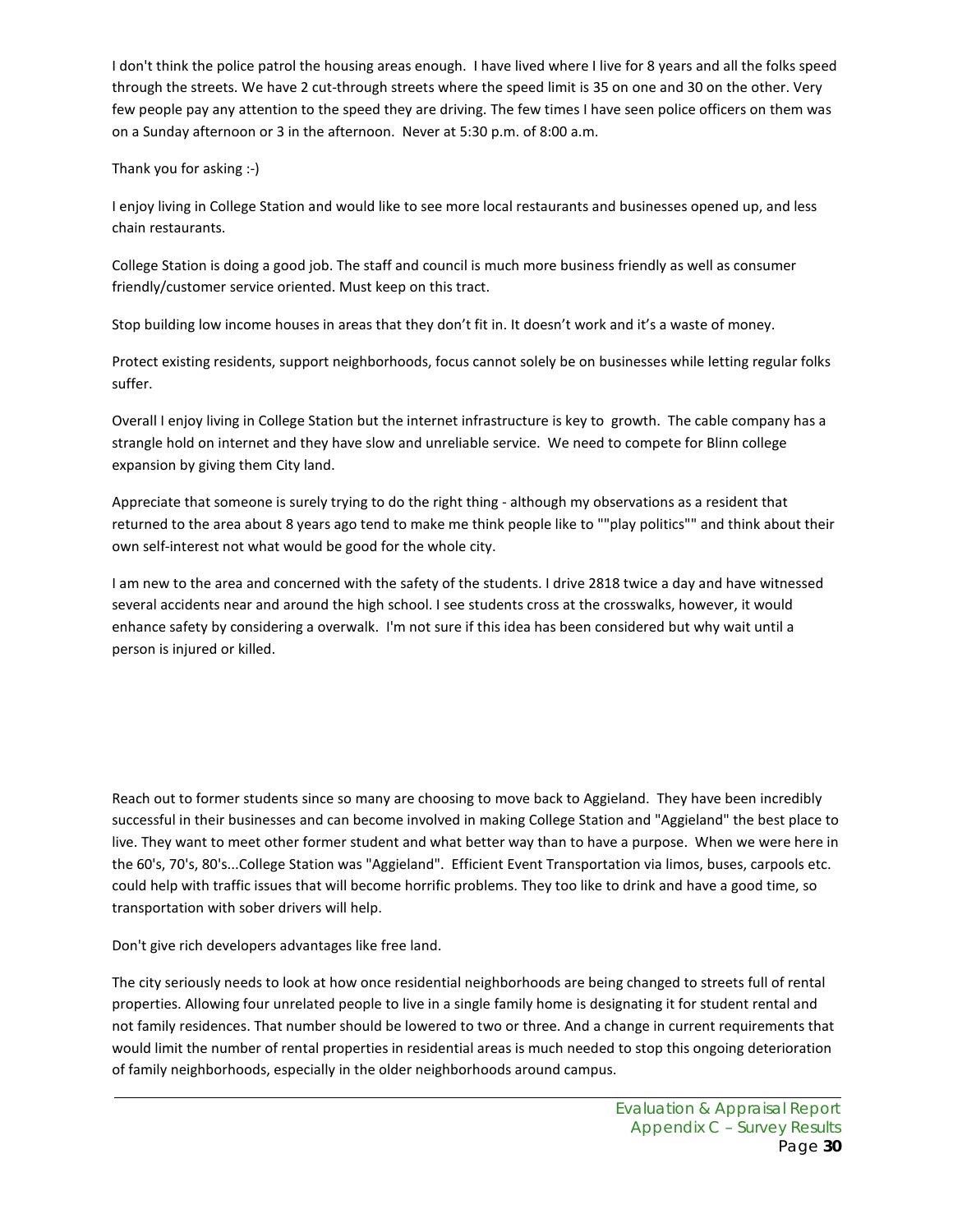I don't think the police patrol the housing areas enough. I have lived where I live for 8 years and all the folks speed through the streets. We have 2 cut-through streets where the speed limit is 35 on one and 30 on the other. Very few people pay any attention to the speed they are driving. The few times I have seen police officers on them was on a Sunday afternoon or 3 in the afternoon. Never at 5:30 p.m. of 8:00 a.m.

#### Thank you for asking :-)

I enjoy living in College Station and would like to see more local restaurants and businesses opened up, and less chain restaurants.

College Station is doing a good job. The staff and council is much more business friendly as well as consumer friendly/customer service oriented. Must keep on this tract.

Stop building low income houses in areas that they don't fit in. It doesn't work and it's a waste of money.

Protect existing residents, support neighborhoods, focus cannot solely be on businesses while letting regular folks suffer.

Overall I enjoy living in College Station but the internet infrastructure is key to growth. The cable company has a strangle hold on internet and they have slow and unreliable service. We need to compete for Blinn college expansion by giving them City land.

Appreciate that someone is surely trying to do the right thing - although my observations as a resident that returned to the area about 8 years ago tend to make me think people like to ""play politics"" and think about their own self-interest not what would be good for the whole city.

I am new to the area and concerned with the safety of the students. I drive 2818 twice a day and have witnessed several accidents near and around the high school. I see students cross at the crosswalks, however, it would enhance safety by considering a overwalk. I'm not sure if this idea has been considered but why wait until a person is injured or killed.

Reach out to former students since so many are choosing to move back to Aggieland. They have been incredibly successful in their businesses and can become involved in making College Station and "Aggieland" the best place to live. They want to meet other former student and what better way than to have a purpose. When we were here in the 60's, 70's, 80's...College Station was "Aggieland". Efficient Event Transportation via limos, buses, carpools etc. could help with traffic issues that will become horrific problems. They too like to drink and have a good time, so transportation with sober drivers will help.

Don't give rich developers advantages like free land.

The city seriously needs to look at how once residential neighborhoods are being changed to streets full of rental properties. Allowing four unrelated people to live in a single family home is designating it for student rental and not family residences. That number should be lowered to two or three. And a change in current requirements that would limit the number of rental properties in residential areas is much needed to stop this ongoing deterioration of family neighborhoods, especially in the older neighborhoods around campus.